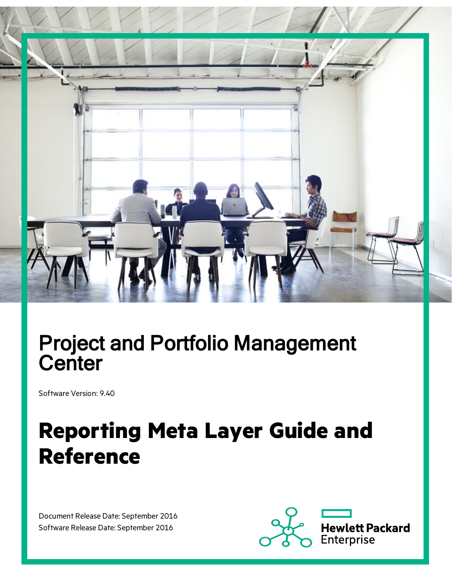

## Project and Portfolio Management **Center**

Software Version: 9.40

# **Reporting Meta Layer Guide and Reference**

Document Release Date: September 2016 Software Release Date: September 2016

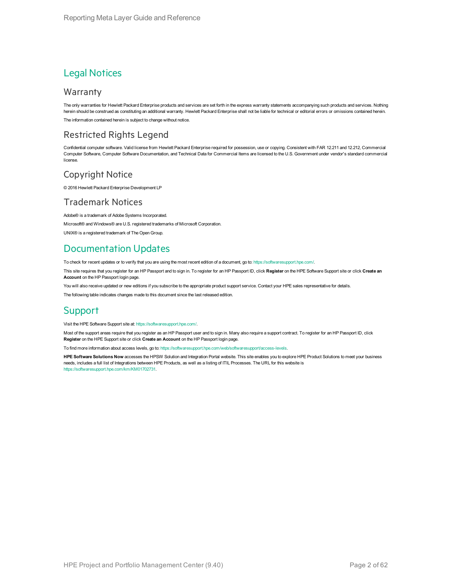### Legal Notices

#### Warranty

The only warranties for Hewlett Packard Enterprise products and services are set forth in the express warranty statements accompanying such products and services. Nothing herein should be construed as constituting an additional warranty. Hewlett Packard Enterprise shall not be liable for technical or editorial errors or omissions contained herein. The information contained herein is subject to change without notice.

### Restricted Rights Legend

Confidential computer software. Valid license from Hewlett Packard Enterprise required for possession, use or copying. Consistent with FAR 12.211 and 12.212, Commercial Computer Software, Computer Software Documentation, and Technical Data for Commercial Items are licensed to the U.S. Government under vendor's standard commercial license.

### Copyright Notice

© 2016 Hewlett Packard Enterprise Development LP

### Trademark Notices

Adobe® is a trademark of Adobe Systems Incorporated.

Microsoft® and Windows® are U.S. registered trademarks of Microsoft Corporation.

UNIX® is a registered trademark of The Open Group.

### Documentation Updates

To check for recent updates or to verify that you are using the most recent edition of a document, go to: <https://softwaresupport.hpe.com/>.

This site requires that you register for an HP Passport and to sign in. To register for an HP Passport ID, click **Register** on the HPE Software Support site or click **Create an Account** on the HP Passport login page.

You will also receive updated or new editions if you subscribe to the appropriate product support service. Contact your HPE sales representative for details.

The following table indicates changes made to this document since the last released edition.

### **Support**

Visit the HPE Software Support site at: <https://softwaresupport.hpe.com/>.

Most of the support areas require that you register as an HP Passport user and to sign in. Many also require a support contract. To register for an HP Passport ID, click **Register** on the HPE Support site or click **Create an Account** on the HP Passport login page.

To find more information about access levels, go to: <https://softwaresupport.hpe.com/web/softwaresupport/access-levels>.

**HPE Software Solutions Now** accesses the HPSW Solution and Integration Portal website. This site enables you to explore HPE Product Solutions to meet your business needs, includes a full list of Integrations between HPE Products, as well as a listing of ITIL Processes. The URL for this website is [https://softwaresupport.hpe.com/km/KM01702731.](https://softwaresupport.hpe.com/km/KM01702731)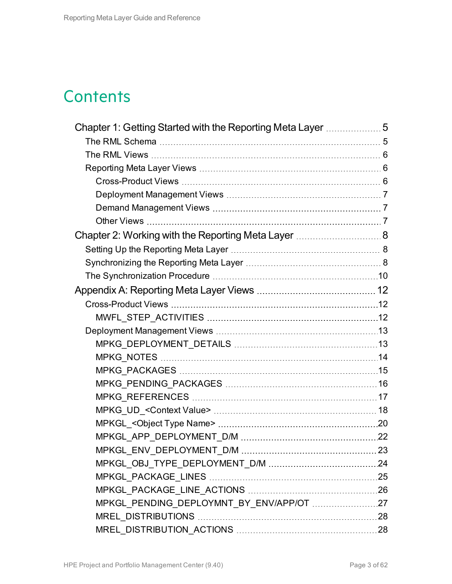## **Contents**

| Chapter 1: Getting Started with the Reporting Meta Layer 5 |    |
|------------------------------------------------------------|----|
|                                                            |    |
|                                                            |    |
|                                                            |    |
|                                                            |    |
|                                                            |    |
|                                                            |    |
|                                                            |    |
| Chapter 2: Working with the Reporting Meta Layer  8        |    |
|                                                            |    |
|                                                            |    |
|                                                            |    |
|                                                            |    |
|                                                            |    |
|                                                            |    |
|                                                            |    |
|                                                            |    |
|                                                            |    |
|                                                            |    |
|                                                            |    |
|                                                            |    |
|                                                            |    |
|                                                            |    |
|                                                            |    |
| MPKGL_ENV_DEPLOYMENT_D/M                                   | 23 |
|                                                            |    |
|                                                            |    |
|                                                            |    |
| MPKGL_PENDING_DEPLOYMNT_BY_ENV/APP/OT 27                   |    |
|                                                            |    |
|                                                            |    |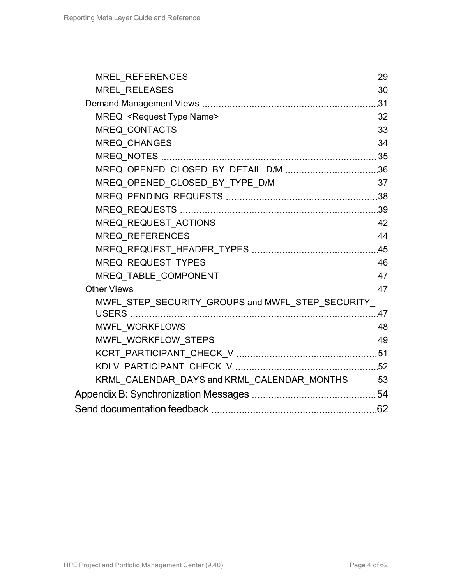| MREQ_OPENED_CLOSED_BY_TYPE_D/M  37               |  |
|--------------------------------------------------|--|
|                                                  |  |
|                                                  |  |
|                                                  |  |
|                                                  |  |
|                                                  |  |
|                                                  |  |
|                                                  |  |
|                                                  |  |
| MWFL STEP SECURITY GROUPS and MWFL STEP SECURITY |  |
|                                                  |  |
|                                                  |  |
|                                                  |  |
|                                                  |  |
|                                                  |  |
| KRML_CALENDAR_DAYS and KRML_CALENDAR_MONTHS 53   |  |
|                                                  |  |
|                                                  |  |
|                                                  |  |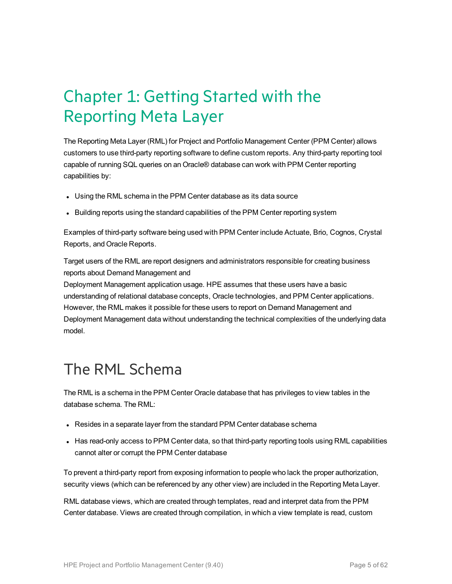## <span id="page-4-0"></span>Chapter 1: Getting Started with the Reporting Meta Layer

The Reporting Meta Layer (RML) for Project and Portfolio Management Center (PPM Center) allows customers to use third-party reporting software to define custom reports. Any third-party reporting tool capable of running SQL queries on an Oracle® database can work with PPM Center reporting capabilities by:

- Using the RML schema in the PPM Center database as its data source
- Building reports using the standard capabilities of the PPM Center reporting system

Examples of third-party software being used with PPM Center include Actuate, Brio, Cognos, Crystal Reports, and Oracle Reports.

Target users of the RML are report designers and administrators responsible for creating business reports about Demand Management and

Deployment Management application usage. HPE assumes that these users have a basic understanding of relational database concepts, Oracle technologies, and PPM Center applications. However, the RML makes it possible for these users to report on Demand Management and Deployment Management data without understanding the technical complexities of the underlying data model.

### <span id="page-4-1"></span>The RML Schema

The RML is a schema in the PPM Center Oracle database that has privileges to view tables in the database schema. The RML:

- Resides in a separate layer from the standard PPM Center database schema
- Has read-only access to PPM Center data, so that third-party reporting tools using RML capabilities cannot alter or corrupt the PPM Center database

To prevent a third-party report from exposing information to people who lack the proper authorization, security views (which can be referenced by any other view) are included in the Reporting Meta Layer.

RML database views, which are created through templates, read and interpret data from the PPM Center database. Views are created through compilation, in which a view template is read, custom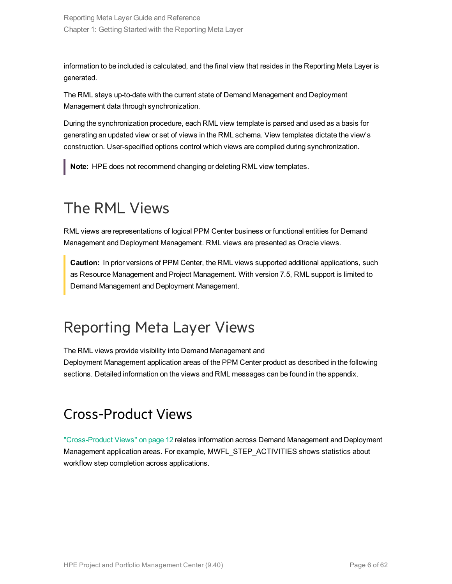Reporting Meta Layer Guide and Reference Chapter 1: Getting Started with the Reporting Meta Layer

information to be included is calculated, and the final view that resides in the Reporting Meta Layer is generated.

The RML stays up-to-date with the current state of Demand Management and Deployment Management data through synchronization.

During the synchronization procedure, each RML view template is parsed and used as a basis for generating an updated view or set of views in the RML schema. View templates dictate the view's construction. User-specified options control which views are compiled during synchronization.

**Note:** HPE does not recommend changing or deleting RML view templates.

### <span id="page-5-0"></span>The RML Views

RML views are representations of logical PPM Center business or functional entities for Demand Management and Deployment Management. RML views are presented as Oracle views.

**Caution:** In prior versions of PPM Center, the RML views supported additional applications, such as Resource Management and Project Management. With version 7.5, RML support is limited to Demand Management and Deployment Management.

### <span id="page-5-1"></span>Reporting Meta Layer Views

The RML views provide visibility into Demand Management and

<span id="page-5-2"></span>Deployment Management application areas of the PPM Center product as described in the following sections. Detailed information on the views and RML messages can be found in the appendix.

### Cross-Product Views

["Cross-Product](#page-11-1) Views" on page 12 relates information across Demand Management and Deployment Management application areas. For example, MWFL\_STEP\_ACTIVITIES shows statistics about workflow step completion across applications.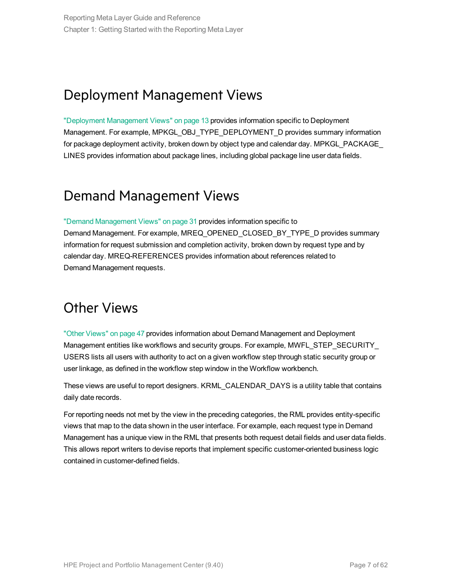### <span id="page-6-0"></span>Deployment Management Views

["Deployment](#page-12-0) Management Views" on page 13 provides information specific to Deployment Management. For example, MPKGL\_OBJ\_TYPE\_DEPLOYMENT\_D provides summary information for package deployment activity, broken down by object type and calendar day. MPKGL\_PACKAGE\_ LINES provides information about package lines, including global package line user data fields.

### <span id="page-6-1"></span>Demand Management Views

"Demand [Management](#page-30-0) Views" on page 31 provides information specific to Demand Management. For example, MREQ\_OPENED\_CLOSED\_BY\_TYPE\_D provides summary information for request submission and completion activity, broken down by request type and by calendar day. MREQ-REFERENCES provides information about references related to Demand Management requests.

### <span id="page-6-2"></span>Other Views

"Other [Views"](#page-46-1) on page 47 provides information about Demand Management and Deployment Management entities like workflows and security groups. For example, MWFL\_STEP\_SECURITY USERS lists all users with authority to act on a given workflow step through static security group or user linkage, as defined in the workflow step window in the Workflow workbench.

These views are useful to report designers. KRML\_CALENDAR\_DAYS is a utility table that contains daily date records.

For reporting needs not met by the view in the preceding categories, the RML provides entity-specific views that map to the data shown in the user interface. For example, each request type in Demand Management has a unique view in the RML that presents both request detail fields and user data fields. This allows report writers to devise reports that implement specific customer-oriented business logic contained in customer-defined fields.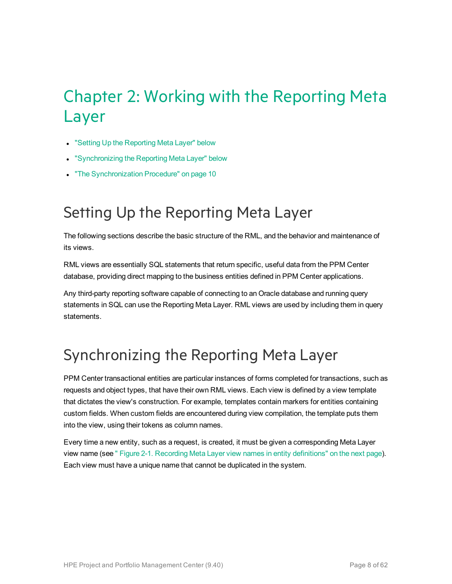## <span id="page-7-0"></span>Chapter 2: Working with the Reporting Meta Layer

- "Setting Up the [Reporting](#page-7-1) Meta Layer" below
- **.** ["Synchronizing](#page-7-2) the Reporting Meta Layer" below
- "The [Synchronization](#page-9-0) Procedure" on page 10

### <span id="page-7-1"></span>Setting Up the Reporting Meta Layer

The following sections describe the basic structure of the RML, and the behavior and maintenance of its views.

RML views are essentially SQL statements that return specific, useful data from the PPM Center database, providing direct mapping to the business entities defined in PPM Center applications.

Any third-party reporting software capable of connecting to an Oracle database and running query statements in SQL can use the Reporting Meta Layer. RML views are used by including them in query statements.

### <span id="page-7-2"></span>Synchronizing the Reporting Meta Layer

PPM Center transactional entities are particular instances of forms completed for transactions, such as requests and object types, that have their own RML views. Each view is defined by a view template that dictates the view's construction. For example, templates contain markers for entities containing custom fields. When custom fields are encountered during view compilation, the template puts them into the view, using their tokens as column names.

Every time a new entity, such as a request, is created, it must be given a corresponding Meta Layer view name (see " Figure 2-1. Recording Meta Layer view names in entity [definitions"](#page-8-0) on the next page). Each view must have a unique name that cannot be duplicated in the system.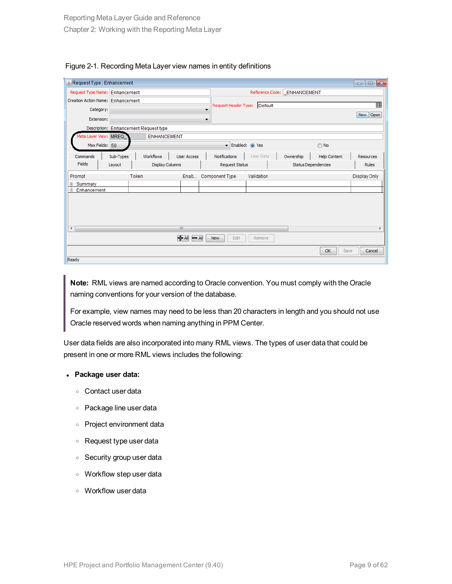<span id="page-8-0"></span>

| Figure 2-1. Recording Meta Layer view names in entity definitions |  |  |  |
|-------------------------------------------------------------------|--|--|--|
|                                                                   |  |  |  |

| Request Type : Enhancement                       |           |                                       |                    |   |                             |                  |           |                            | $\mathbf{x}$<br>$\Box$<br>$\Box$ |
|--------------------------------------------------|-----------|---------------------------------------|--------------------|---|-----------------------------|------------------|-----------|----------------------------|----------------------------------|
| Request Type Name: Enhancement                   |           |                                       |                    |   | Reference Code: ENHANCEMENT |                  |           |                            |                                  |
| Creation Action Name: Enhancement                |           |                                       |                    |   |                             |                  |           |                            | 圓                                |
| Category:                                        |           |                                       |                    | ▼ | Request Header Type:        | Default          |           |                            |                                  |
| Extension:                                       |           |                                       |                    | ▼ |                             |                  |           |                            | New Open                         |
|                                                  |           | Description: Enhancement Request type |                    |   |                             |                  |           |                            |                                  |
| leta Layer View: MREQ                            |           | <b>ENHANCEMENT</b>                    |                    |   |                             |                  |           |                            |                                  |
| Max Fields: 50                                   |           |                                       |                    |   |                             | Finabled: @ Yes  |           | O No                       |                                  |
| Commands                                         | Sub-Types | Workflows                             | <b>User Access</b> |   | Notifications               | <b>User Data</b> | Ownership | <b>Help Content</b>        | Resources                        |
| Fields                                           | Layout    | Display Columns                       |                    |   | <b>Request Status</b>       |                  |           | <b>Status Dependencies</b> | <b>Rules</b>                     |
| Prompt                                           |           | Token                                 |                    |   | Enab Component Type         | Validation       |           |                            | <b>Display Only</b>              |
| E-Summarv                                        |           |                                       |                    |   |                             |                  |           |                            |                                  |
| E-Enhancement                                    |           |                                       |                    |   |                             |                  |           |                            |                                  |
|                                                  |           |                                       |                    |   |                             |                  |           |                            |                                  |
|                                                  |           |                                       |                    |   |                             |                  |           |                            |                                  |
|                                                  |           |                                       |                    |   |                             |                  |           |                            |                                  |
| $\overline{a}$<br>$\mathbf{H}$                   |           |                                       |                    |   |                             |                  |           |                            |                                  |
| H All<br>$\blacksquare$<br>Edit<br>New<br>Remove |           |                                       |                    |   |                             |                  |           |                            |                                  |
|                                                  |           |                                       |                    |   |                             |                  |           | OK                         | Save<br>Cancel                   |
| Ready                                            |           |                                       |                    |   |                             |                  |           |                            |                                  |

**Note:** RML views are named according to Oracle convention. You must comply with the Oracle naming conventions for your version of the database.

For example, view names may need to be less than 20 characters in length and you should not use Oracle reserved words when naming anything in PPM Center.

User data fields are also incorporated into many RML views. The types of user data that could be present in one or more RML views includes the following:

#### <sup>l</sup> **Package user data:**

- <sup>o</sup> Contact user data
- <sup>o</sup> Package line user data
- <sup>o</sup> Project environment data
- <sup>o</sup> Request type user data
- <sup>o</sup> Security group user data
- <sup>o</sup> Workflow step user data
- <sup>o</sup> Workflow user data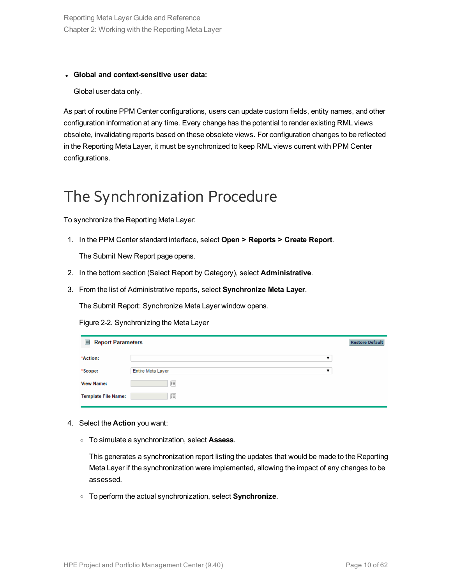Reporting Meta Layer Guide and Reference Chapter 2: Working with the Reporting Meta Layer

#### <sup>l</sup> **Global and context-sensitive user data:**

Global user data only.

As part of routine PPM Center configurations, users can update custom fields, entity names, and other configuration information at any time. Every change has the potential to render existing RML views obsolete, invalidating reports based on these obsolete views. For configuration changes to be reflected in the Reporting Meta Layer, it must be synchronized to keep RML views current with PPM Center configurations.

### <span id="page-9-0"></span>The Synchronization Procedure

To synchronize the Reporting Meta Layer:

1. In the PPM Center standard interface, select **Open > Reports > Create Report**.

The Submit New Report page opens.

- 2. In the bottom section (Select Report by Category), select **Administrative**.
- 3. From the list of Administrative reports, select **Synchronize Meta Layer**.

The Submit Report: Synchronize Meta Layer window opens.

Figure 2-2. Synchronizing the Meta Layer

| 巨<br><b>Report Parameters</b> |                        | <b>Restore Default</b> |
|-------------------------------|------------------------|------------------------|
| *Action:                      | ▼                      |                        |
| *Scope:                       | Entire Meta Layer<br>▼ |                        |
| <b>View Name:</b>             | 這                      |                        |
| <b>Template File Name:</b>    | E                      |                        |

- 4. Select the **Action** you want:
	- <sup>o</sup> To simulate a synchronization, select **Assess**.

This generates a synchronization report listing the updates that would be made to the Reporting Meta Layer if the synchronization were implemented, allowing the impact of any changes to be assessed.

<sup>o</sup> To perform the actual synchronization, select **Synchronize**.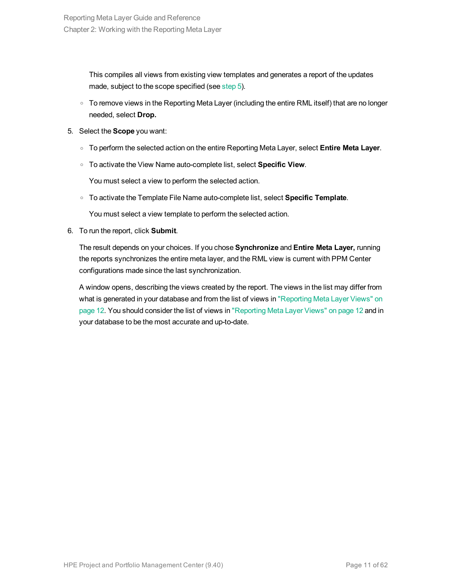This compiles all views from existing view templates and generates a report of the updates made, subject to the scope specified (see [step](#page-10-0) 5).

- <span id="page-10-0"></span> $\circ$  To remove views in the Reporting Meta Layer (including the entire RML itself) that are no longer needed, select **Drop.**
- 5. Select the **Scope** you want:
	- <sup>o</sup> To perform the selected action on the entire Reporting Meta Layer, select **Entire Meta Layer**.
	- <sup>o</sup> To activate the View Name auto-complete list, select **Specific View**.

You must select a view to perform the selected action.

<sup>o</sup> To activate the Template File Name auto-complete list, select **Specific Template**.

You must select a view template to perform the selected action.

6. To run the report, click **Submit**.

The result depends on your choices. If you chose **Synchronize** and **Entire Meta Layer,** running the reports synchronizes the entire meta layer, and the RML view is current with PPM Center configurations made since the last synchronization.

A window opens, describing the views created by the report. The views in the list may differ from what is generated in your database and from the list of views in ["Reporting](#page-11-0) Meta Layer Views" on [page](#page-11-0) 12. You should consider the list of views in ["Reporting](#page-11-0) Meta Layer Views" on page 12 and in your database to be the most accurate and up-to-date.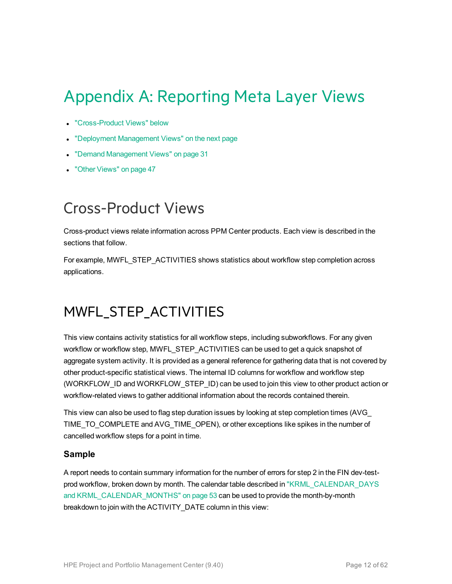## <span id="page-11-0"></span>Appendix A: Reporting Meta Layer Views

- ["Cross-Product](#page-11-1) Views" below
- ["Deployment](#page-12-0) Management Views" on the next page
- "Demand [Management](#page-30-0) Views" on page 31
- "Other [Views"](#page-46-1) on page 47

### <span id="page-11-1"></span>Cross-Product Views

Cross-product views relate information across PPM Center products. Each view is described in the sections that follow.

<span id="page-11-2"></span>For example, MWFL\_STEP\_ACTIVITIES shows statistics about workflow step completion across applications.

### MWFL\_STEP\_ACTIVITIES

This view contains activity statistics for all workflow steps, including subworkflows. For any given workflow or workflow step, MWFL\_STEP\_ACTIVITIES can be used to get a quick snapshot of aggregate system activity. It is provided as a general reference for gathering data that is not covered by other product-specific statistical views. The internal ID columns for workflow and workflow step (WORKFLOW\_ID and WORKFLOW\_STEP\_ID) can be used to join this view to other product action or workflow-related views to gather additional information about the records contained therein.

This view can also be used to flag step duration issues by looking at step completion times (AVG\_ TIME\_TO\_COMPLETE and AVG\_TIME\_OPEN), or other exceptions like spikes in the number of cancelled workflow steps for a point in time.

#### **Sample**

A report needs to contain summary information for the number of errors for step 2 in the FIN dev-testprod workflow, broken down by month. The calendar table described in ["KRML\\_CALENDAR\\_DAYS](#page-52-0) and [KRML\\_CALENDAR\\_MONTHS"](#page-52-0) on page 53 can be used to provide the month-by-month breakdown to join with the ACTIVITY\_DATE column in this view: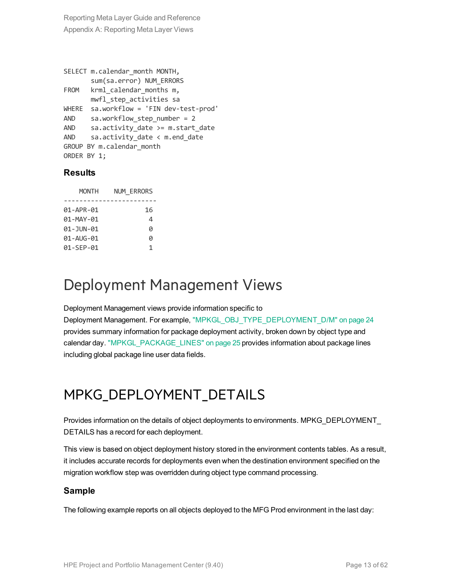```
SELECT m.calendar month MONTH,
      sum(sa.error) NUM_ERRORS
FROM krml calendar months m,
     mwfl_step_activities sa
WHERE sa.workflow = 'FIN dev-test-prod'
AND sa.workflow step number = 2
AND sa.activity_date >= m.start_date
AND sa.activity date < m.end date
GROUP BY m.calendar_month
ORDER BY 1;
```
#### **Results**

| <b>MONTH</b>  | <b>NUM ERRORS</b> |
|---------------|-------------------|
|               |                   |
| 01-APR-01     | 16                |
| 01-MAY-01     | 4                 |
| 01 - JUN - 01 | a                 |
| 01-AUG-01     | ø                 |
| 01-SEP-01     | 1                 |

### <span id="page-12-0"></span>Deployment Management Views

Deployment Management views provide information specific to

Deployment Management. For example, ["MPKGL\\_OBJ\\_TYPE\\_DEPLOYMENT\\_D/M"](#page-23-0) on page 24 provides summary information for package deployment activity, broken down by object type and calendar day. ["MPKGL\\_PACKAGE\\_LINES"](#page-24-0) on page 25 provides information about package lines including global package line user data fields.

### <span id="page-12-1"></span>MPKG\_DEPLOYMENT\_DETAILS

Provides information on the details of object deployments to environments. MPKG\_DEPLOYMENT\_ DETAILS has a record for each deployment.

This view is based on object deployment history stored in the environment contents tables. As a result, it includes accurate records for deployments even when the destination environment specified on the migration workflow step was overridden during object type command processing.

#### **Sample**

The following example reports on all objects deployed to the MFG Prod environment in the last day: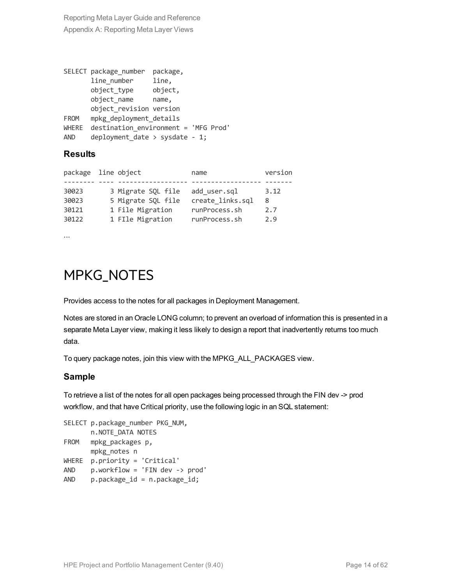```
SELECT package number package,
      line_number line,
      object_type object,
      object_name name,
      object_revision version
FROM mpkg deployment details
WHERE destination environment = 'MFG Prod'
AND deployment date > sysdate - 1;
```
### **Results**

|  | name                                                                                                    | version |
|--|---------------------------------------------------------------------------------------------------------|---------|
|  |                                                                                                         |         |
|  | add user.sql                                                                                            | 3.12    |
|  | create links.sql                                                                                        | 8       |
|  | runProcess.sh                                                                                           | 2.7     |
|  | runProcess.sh                                                                                           | 2.9     |
|  | package line object<br>3 Migrate SQL file<br>5 Migrate SQL file<br>1 File Migration<br>1 FIle Migration |         |

<span id="page-13-0"></span>...

### MPKG\_NOTES

Provides access to the notes for all packages in Deployment Management.

Notes are stored in an Oracle LONG column; to prevent an overload of information this is presented in a separate Meta Layer view, making it less likely to design a report that inadvertently returns too much data.

To query package notes, join this view with the MPKG\_ALL\_PACKAGES view.

### **Sample**

To retrieve a list of the notes for all open packages being processed through the FIN dev -> prod workflow, and that have Critical priority, use the following logic in an SQL statement:

```
SELECT p.package number PKG NUM,
      n.NOTE_DATA NOTES
FROM mpkg_packages p,
      mpkg_notes n
WHERE p.priority = 'Critical'
AND p.workflow = 'FIN dev -> prod'
AND p.package_id = n.package_id;
```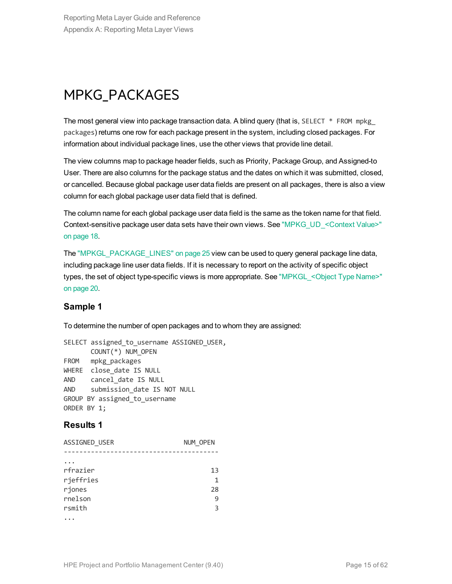### <span id="page-14-0"></span>MPKG\_PACKAGES

The most general view into package transaction data. A blind query (that is, SELECT  $*$  FROM mpkg packages) returns one row for each package present in the system, including closed packages. For information about individual package lines, use the other views that provide line detail.

The view columns map to package header fields, such as Priority, Package Group, and Assigned-to User. There are also columns for the package status and the dates on which it was submitted, closed, or cancelled. Because global package user data fields are present on all packages, there is also a view column for each global package user data field that is defined.

The column name for each global package user data field is the same as the token name for that field. Context-sensitive package user data sets have their own views. See ["MPKG\\_UD\\_<Context](#page-17-0) Value>" on [page](#page-17-0) 18.

The ["MPKGL\\_PACKAGE\\_LINES"](#page-24-0) on page 25 view can be used to query general package line data, including package line user data fields. If it is necessary to report on the activity of specific object types, the set of object type-specific views is more appropriate. See "MPKGL <Object Type Name>" on [page](#page-19-0) 20.

### **Sample 1**

To determine the number of open packages and to whom they are assigned:

```
SELECT assigned to username ASSIGNED USER,
      COUNT(*) NUM_OPEN
FROM mpkg packages
WHERE close date IS NULL
AND cancel date IS NULL
AND submission_date IS NOT NULL
GROUP BY assigned to username
ORDER BY 1;
```
### **Results 1**

| ASSIGNED USER | NUM OPEN |
|---------------|----------|
|               |          |
|               |          |
| rfrazier      | 13       |
| rjeffries     | 1        |
| rjones        | 28       |
| rnelson       | 9        |
| rsmith        | 3        |
|               |          |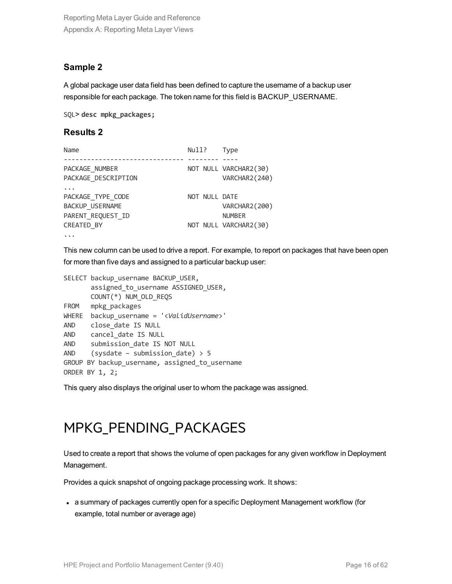### **Sample 2**

A global package user data field has been defined to capture the username of a backup user responsible for each package. The token name for this field is BACKUP\_USERNAME.

SQL> **desc mpkg\_packages;**

#### **Results 2**

| Name                                        | Null?         | Type                                   |
|---------------------------------------------|---------------|----------------------------------------|
| PACKAGE_NUMBER<br>PACKAGE DESCRIPTION       |               | NOT NULL VARCHAR2(30)<br>VARCHAR2(240) |
| PACKAGE TYPE CODE<br><b>BACKUP USERNAME</b> | NOT NULL DATE | VARCHAR2 (200)                         |
| PARENT REQUEST ID<br>CREATED BY<br>$\cdots$ |               | <b>NUMBER</b><br>NOT NULL VARCHAR2(30) |

This new column can be used to drive a report. For example, to report on packages that have been open for more than five days and assigned to a particular backup user:

```
SELECT backup username BACKUP USER,
      assigned to username ASSIGNED USER,
      COUNT(*) NUM_OLD_REQS
FROM mpkg packages
WHERE backup_username = '<ValidUsername>'
AND close date IS NULL
AND cancel_date IS NULL
AND submission date IS NOT NULL
AND (sysdate – submission date) > 5GROUP BY backup username, assigned to username
ORDER BY 1, 2;
```
<span id="page-15-0"></span>This query also displays the original user to whom the package was assigned.

### MPKG\_PENDING\_PACKAGES

Used to create a report that shows the volume of open packages for any given workflow in Deployment Management.

Provides a quick snapshot of ongoing package processing work. It shows:

• a summary of packages currently open for a specific Deployment Management workflow (for example, total number or average age)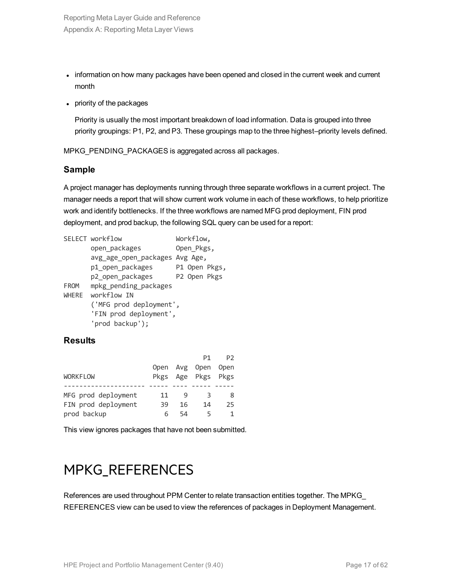- information on how many packages have been opened and closed in the current week and current month
- priority of the packages

Priority is usually the most important breakdown of load information. Data is grouped into three priority groupings: P1, P2, and P3. These groupings map to the three highest–priority levels defined.

MPKG\_PENDING\_PACKAGES is aggregated across all packages.

### **Sample**

A project manager has deployments running through three separate workflows in a current project. The manager needs a report that will show current work volume in each of these workflows, to help prioritize work and identify bottlenecks. If the three workflows are named MFG prod deployment, FIN prod deployment, and prod backup, the following SQL query can be used for a report:

|              | SELECT workflow                | Workflow,  |              |               |  |
|--------------|--------------------------------|------------|--------------|---------------|--|
|              | open_packages                  | Open_Pkgs, |              |               |  |
|              | avg_age_open_packages Avg Age, |            |              |               |  |
|              | p1_open_packages               |            |              | P1 Open Pkgs, |  |
|              | p2_open_packages               |            | P2 Open Pkgs |               |  |
| FROM         | mpkg pending packages          |            |              |               |  |
| <b>WHERE</b> | workflow IN                    |            |              |               |  |
|              | ('MFG prod deployment',        |            |              |               |  |
|              | 'FIN prod deployment',         |            |              |               |  |
|              | 'prod backup');                |            |              |               |  |

### **Results**

|                     |      |    | P1.                | P <sub>2</sub> |
|---------------------|------|----|--------------------|----------------|
|                     | Open |    | Avg Open Open      |                |
| <b>WORKFLOW</b>     |      |    | Pkgs Age Pkgs Pkgs |                |
|                     |      |    |                    |                |
| MFG prod deployment | 11   |    | ₹                  | 8              |
| FIN prod deployment | 39   | 16 | 14                 | 25             |
| prod backup         | 6    | 54 | 5                  |                |

<span id="page-16-0"></span>This view ignores packages that have not been submitted.

### MPKG\_REFERENCES

References are used throughout PPM Center to relate transaction entities together. The MPKG\_ REFERENCES view can be used to view the references of packages in Deployment Management.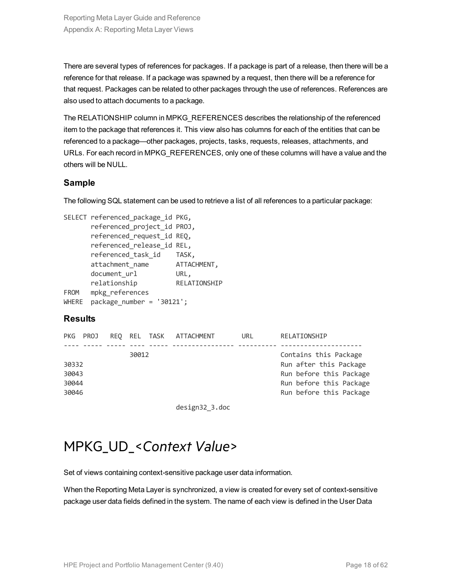There are several types of references for packages. If a package is part of a release, then there will be a reference for that release. If a package was spawned by a request, then there will be a reference for that request. Packages can be related to other packages through the use of references. References are also used to attach documents to a package.

The RELATIONSHIP column in MPKG\_REFERENCES describes the relationship of the referenced item to the package that references it. This view also has columns for each of the entities that can be referenced to a package—other packages, projects, tasks, requests, releases, attachments, and URLs. For each record in MPKG\_REFERENCES, only one of these columns will have a value and the others will be NULL.

### **Sample**

The following SQL statement can be used to retrieve a list of all references to a particular package:

```
SELECT referenced package id PKG,
      referenced_project_id PROJ,
      referenced_request_id REQ,
      referenced release id REL,
      referenced_task_id TASK,
      attachment_name ATTACHMENT,
      document_url URL,
     relationship RELATIONSHIP
FROM mpkg references
WHERE package number = '30121';
```
### **Results**

| PKG                              | PROJ |       | REO REL TASK ATTACHMENT | URL. | RELATIONSHIP                                                                                                                     |
|----------------------------------|------|-------|-------------------------|------|----------------------------------------------------------------------------------------------------------------------------------|
| 30332<br>30043<br>30044<br>30046 |      | 30012 |                         |      | Contains this Package<br>Run after this Package<br>Run before this Package<br>Run before this Package<br>Run before this Package |
|                                  |      |       |                         |      |                                                                                                                                  |

design32\_3.doc

### <span id="page-17-0"></span>MPKG\_UD\_<*Context Value*>

Set of views containing context-sensitive package user data information.

When the Reporting Meta Layer is synchronized, a view is created for every set of context-sensitive package user data fields defined in the system. The name of each view is defined in the User Data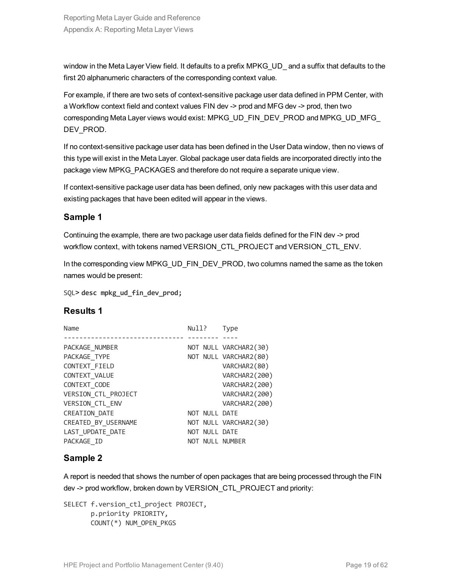window in the Meta Layer View field. It defaults to a prefix MPKG UD and a suffix that defaults to the first 20 alphanumeric characters of the corresponding context value.

For example, if there are two sets of context-sensitive package user data defined in PPM Center, with a Workflow context field and context values FIN dev -> prod and MFG dev -> prod, then two corresponding Meta Layer views would exist: MPKG\_UD\_FIN\_DEV\_PROD and MPKG\_UD\_MFG\_ DEV\_PROD.

If no context-sensitive package user data has been defined in the User Data window, then no views of this type will exist in the Meta Layer. Global package user data fields are incorporated directly into the package view MPKG\_PACKAGES and therefore do not require a separate unique view.

If context-sensitive package user data has been defined, only new packages with this user data and existing packages that have been edited will appear in the views.

### **Sample 1**

Continuing the example, there are two package user data fields defined for the FIN dev -> prod workflow context, with tokens named VERSION\_CTL\_PROJECT and VERSION\_CTL\_ENV.

In the corresponding view MPKG\_UD\_FIN\_DEV\_PROD, two columns named the same as the token names would be present:

SQL> **desc mpkg\_ud\_fin\_dev\_prod;**

### **Results 1**

| Name                 | Null? |               | Type                  |
|----------------------|-------|---------------|-----------------------|
|                      |       |               |                       |
| PACKAGE_NUMBER       |       |               | NOT NULL VARCHAR2(30) |
| PACKAGE TYPE         |       |               | NOT NULL VARCHAR2(80) |
| CONTEXT FIELD        |       |               | VARCHAR2(80)          |
| CONTEXT_VALUE        |       |               | VARCHAR2(200)         |
| CONTEXT_CODE         |       |               | VARCHAR2(200)         |
| VERSION CTL PROJECT  |       |               | VARCHAR2(200)         |
| VERSION_CTL_ENV      |       |               | VARCHAR2(200)         |
| <b>CREATION DATE</b> |       | NOT NULL DATE |                       |
| CREATED_BY_USERNAME  |       |               | NOT NULL VARCHAR2(30) |
| LAST UPDATE DATE     |       | NOT NULL DATE |                       |
| PACKAGE ID           |       |               | NOT NULL NUMBER       |

### **Sample 2**

A report is needed that shows the number of open packages that are being processed through the FIN dev -> prod workflow, broken down by VERSION\_CTL\_PROJECT and priority:

SELECT f.version ctl project PROJECT, p.priority PRIORITY, COUNT(\*) NUM\_OPEN\_PKGS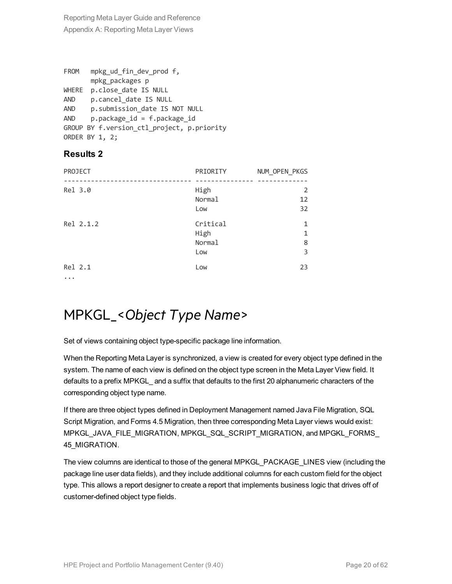```
FROM mpkg_ud_fin_dev_prod f,
      mpkg_packages p
WHERE p.close date IS NULL
AND p.cancel date IS NULL
AND p.submission date IS NOT NULL
AND p.package_id = f.package_idGROUP BY f.version ctl project, p.priority
ORDER BY 1, 2;
```
### **Results 2**

| PROJECT   | PRIORITY                          | NUM_OPEN_PKGS    |
|-----------|-----------------------------------|------------------|
| Rel 3.0   | High<br>Normal<br>Low             | 2<br>12<br>32    |
| Rel 2.1.2 | Critical<br>High<br>Normal<br>Low | 1<br>1<br>8<br>3 |
| Rel 2.1   | Low                               | 23               |

<span id="page-19-0"></span>...

### MPKGL\_<*Object Type Name*>

Set of views containing object type-specific package line information.

When the Reporting Meta Layer is synchronized, a view is created for every object type defined in the system. The name of each view is defined on the object type screen in the Meta Layer View field. It defaults to a prefix MPKGL\_ and a suffix that defaults to the first 20 alphanumeric characters of the corresponding object type name.

If there are three object types defined in Deployment Management named Java File Migration, SQL Script Migration, and Forms 4.5 Migration, then three corresponding Meta Layer views would exist: MPKGL\_JAVA\_FILE\_MIGRATION, MPKGL\_SQL\_SCRIPT\_MIGRATION, and MPGKL\_FORMS\_ 45\_MIGRATION.

The view columns are identical to those of the general MPKGL\_PACKAGE\_LINES view (including the package line user data fields), and they include additional columns for each custom field for the object type. This allows a report designer to create a report that implements business logic that drives off of customer-defined object type fields.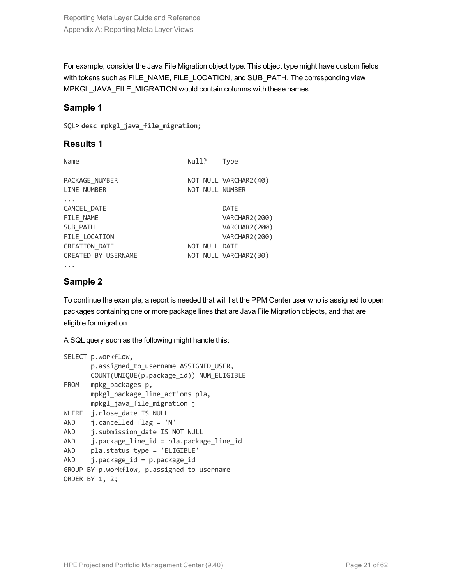For example, consider the Java File Migration object type. This object type might have custom fields with tokens such as FILE\_NAME, FILE\_LOCATION, and SUB\_PATH. The corresponding view MPKGL\_JAVA\_FILE\_MIGRATION would contain columns with these names.

### **Sample 1**

SQL> **desc mpkgl\_java\_file\_migration;**

### **Results 1**

| Name                 | Null?           | <b>Type</b>           |
|----------------------|-----------------|-----------------------|
|                      |                 |                       |
| PACKAGE NUMBER       |                 | NOT NULL VARCHAR2(40) |
| LINE NUMBER          | NOT NULL NUMBER |                       |
|                      |                 |                       |
| CANCEL_DATE          |                 | DATE                  |
| FILE NAME            |                 | VARCHAR2(200)         |
| SUB PATH             |                 | VARCHAR2(200)         |
| FILE LOCATION        |                 | VARCHAR2(200)         |
| <b>CREATION DATE</b> | NOT NULL DATE   |                       |
| CREATED BY USERNAME  |                 | NOT NULL VARCHAR2(30) |
|                      |                 |                       |

### **Sample 2**

To continue the example, a report is needed that will list the PPM Center user who is assigned to open packages containing one or more package lines that are Java File Migration objects, and that are eligible for migration.

A SQL query such as the following might handle this:

```
SELECT p.workflow,
      p.assigned_to_username ASSIGNED_USER,
      COUNT(UNIQUE(p.package_id)) NUM_ELIGIBLE
FROM mpkg packages p,
      mpkgl_package_line_actions pla,
      mpkgl_java_file_migration j
WHERE j.close_date IS NULL
AND j.cancelled flag = 'N'
AND i.submission date IS NOT NULL
AND j.package line id = pla.package line id
AND pla.status type = 'ELIGIBLE'
AND j.package_id = p.package_idGROUP BY p.workflow, p.assigned to username
ORDER BY 1, 2;
```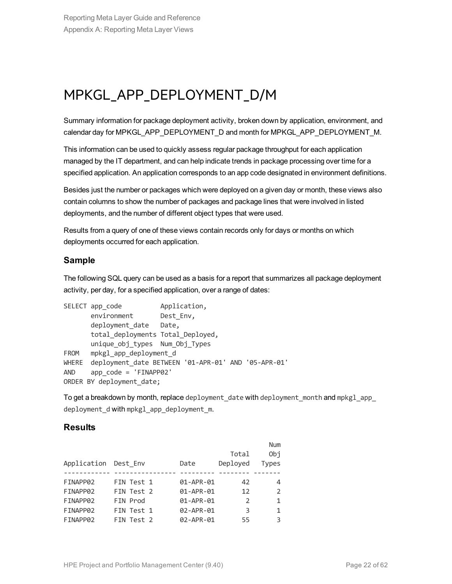### <span id="page-21-0"></span>MPKGL\_APP\_DEPLOYMENT\_D/M

Summary information for package deployment activity, broken down by application, environment, and calendar day for MPKGL\_APP\_DEPLOYMENT\_D and month for MPKGL\_APP\_DEPLOYMENT\_M.

This information can be used to quickly assess regular package throughput for each application managed by the IT department, and can help indicate trends in package processing over time for a specified application. An application corresponds to an app code designated in environment definitions.

Besides just the number or packages which were deployed on a given day or month, these views also contain columns to show the number of packages and package lines that were involved in listed deployments, and the number of different object types that were used.

Results from a query of one of these views contain records only for days or months on which deployments occurred for each application.

### **Sample**

The following SQL query can be used as a basis for a report that summarizes all package deployment activity, per day, for a specified application, over a range of dates:

```
SELECT app code Application,
      environment Dest_Env,
      deployment date Date,
      total_deployments Total_Deployed,
      unique obj types Num Obj Types
FROM mpkgl_app_deployment_d
WHERE deployment date BETWEEN '01-APR-01' AND '05-APR-01'
AND app_code = 'FINAPP02'
ORDER BY deployment date;
```
To get a breakdown by month, replace deployment date with deployment month and mpkgl app deployment d with mpkgl app deployment m.

### **Results**

|                      |            |           |          | <b>Num</b>     |
|----------------------|------------|-----------|----------|----------------|
|                      |            |           | Total    | Obj            |
| Application Dest Env |            | Date      | Deployed | Types          |
|                      |            |           |          |                |
| FINAPP02             | FIN Test 1 | 01-APR-01 | 42       | 4              |
| FINAPP02             | FIN Test 2 | 01-APR-01 | 12       | $\mathfrak{D}$ |
| FINAPP02             | FIN Prod   | 01-APR-01 | 2        | $\mathbf{1}$   |
| FINAPP02             | FIN Test 1 | 02-APR-01 | 3        | 1              |
| FINAPP02             | FIN Test 2 | 02-APR-01 | 55       | 3              |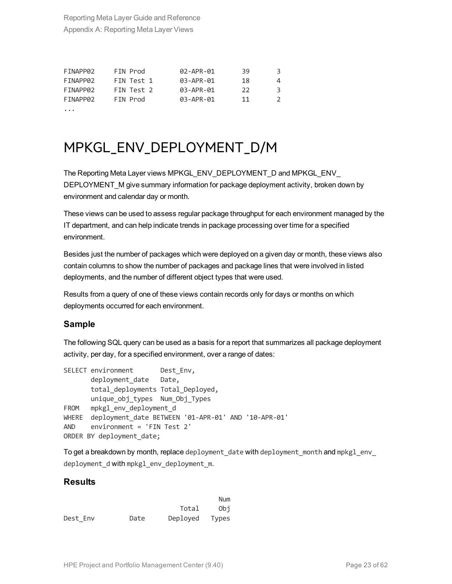| FINAPP02 | FIN Prod   | 02-APR-01 | 39  | 3.            |
|----------|------------|-----------|-----|---------------|
| FINAPP02 | FIN Test 1 | 03-APR-01 | 18  | 4             |
| FINAPP02 | FIN Test 2 | 03-APR-01 | -22 | 3             |
| FINAPP02 | FIN Prod   | 03-APR-01 | 11  | $\mathcal{P}$ |
|          |            |           |     |               |

### <span id="page-22-0"></span>MPKGL\_ENV\_DEPLOYMENT\_D/M

The Reporting Meta Layer views MPKGL\_ENV\_DEPLOYMENT\_D and MPKGL\_ENV\_ DEPLOYMENT\_M give summary information for package deployment activity, broken down by environment and calendar day or month.

These views can be used to assess regular package throughput for each environment managed by the IT department, and can help indicate trends in package processing over time for a specified environment.

Besides just the number of packages which were deployed on a given day or month, these views also contain columns to show the number of packages and package lines that were involved in listed deployments, and the number of different object types that were used.

Results from a query of one of these views contain records only for days or months on which deployments occurred for each environment.

### **Sample**

The following SQL query can be used as a basis for a report that summarizes all package deployment activity, per day, for a specified environment, over a range of dates:

```
SELECT environment Dest Env,
      deployment date Date,
      total deployments Total Deployed,
      unique obj types Num Obj Types
FROM mpkgl_env_deployment_d
WHERE deployment date BETWEEN '01-APR-01' AND '10-APR-01'
AND environment = 'FIN Test 2'
ORDER BY deployment date;
```
To get a breakdown by month, replace deployment date with deployment month and mpkgl env deployment d with mpkgl\_env\_deployment\_m.

### **Results**

|          |      |          | Num   |
|----------|------|----------|-------|
|          |      | Total    | Obi   |
| Dest Env | Date | Deployed | Types |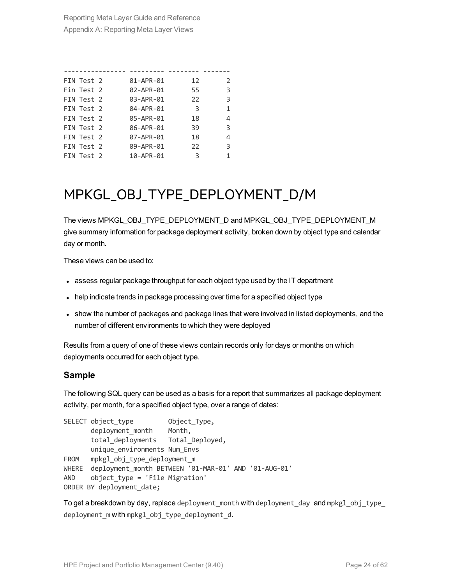| FIN Test 2 | 01-APR-01 | 12 | $\mathcal{P}$ |
|------------|-----------|----|---------------|
| Fin Test 2 | 02-APR-01 | 55 | 3             |
| FIN Test 2 | 03-APR-01 | 22 | 3             |
| FIN Test 2 | 04-APR-01 | -3 | 1             |
| FIN Test 2 | 05-APR-01 | 18 | 4             |
| FIN Test 2 | 06-APR-01 | 39 | 3             |
| FIN Test 2 | 07-APR-01 | 18 | 4             |
| FIN Test 2 | 09-APR-01 | 22 | 3             |
| FIN Test 2 | 10-APR-01 | 3  |               |

### <span id="page-23-0"></span>MPKGL\_OBJ\_TYPE\_DEPLOYMENT\_D/M

The views MPKGL\_OBJ\_TYPE\_DEPLOYMENT\_D and MPKGL\_OBJ\_TYPE\_DEPLOYMENT\_M give summary information for package deployment activity, broken down by object type and calendar day or month.

These views can be used to:

- assess regular package throughput for each object type used by the IT department
- help indicate trends in package processing over time for a specified object type
- show the number of packages and package lines that were involved in listed deployments, and the number of different environments to which they were deployed

Results from a query of one of these views contain records only for days or months on which deployments occurred for each object type.

#### **Sample**

The following SQL query can be used as a basis for a report that summarizes all package deployment activity, per month, for a specified object type, over a range of dates:

```
SELECT object_type Object_Type,
      deployment_month Month,
      total deployments Total Deployed,
     unique_environments Num_Envs
FROM mpkgl obj type deployment m
WHERE deployment month BETWEEN '01-MAR-01' AND '01-AUG-01'
AND object_type = 'File Migration'
ORDER BY deployment_date;
```
To get a breakdown by day, replace deployment month with deployment day and mpkgl obj type deployment m with mpkgl obj type deployment d.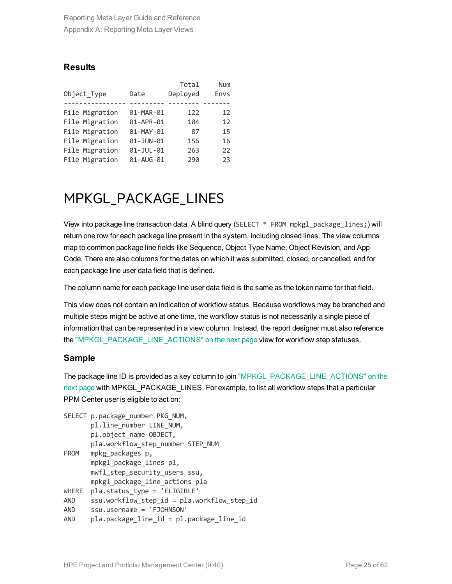### **Results**

|                |           | Total    | <b>Num</b> |
|----------------|-----------|----------|------------|
| Object Type    | Date      | Deployed | Envs       |
|                |           |          |            |
| File Migration | 01-MAR-01 | 122      | 12         |
| File Migration | 01-APR-01 | 104      | 12         |
| File Migration | 01-MAY-01 | 87       | 15         |
| File Migration | 01-JUN-01 | 156      | 16         |
| File Migration | 01-JUL-01 | 263      | 22         |
| File Migration | 01-AUG-01 | 290      | 23         |

### <span id="page-24-0"></span>MPKGL\_PACKAGE\_LINES

View into package line transaction data. A blind query (SELECT  $*$  FROM mpkg1 package lines;) will return one row for each package line present in the system, including closed lines. The view columns map to common package line fields like Sequence, Object Type Name, Object Revision, and App Code. There are also columns for the dates on which it was submitted, closed, or cancelled, and for each package line user data field that is defined.

The column name for each package line user data field is the same as the token name for that field.

This view does not contain an indication of workflow status. Because workflows may be branched and multiple steps might be active at one time, the workflow status is not necessarily a single piece of information that can be represented in a view column. Instead, the report designer must also reference the ["MPKGL\\_PACKAGE\\_LINE\\_ACTIONS"](#page-25-0) on the next page view for workflow step statuses.

### **Sample**

The package line ID is provided as a key column to join ["MPKGL\\_PACKAGE\\_LINE\\_ACTIONS"](#page-25-0) on the next [page](#page-25-0) with MPKGL\_PACKAGE\_LINES. For example, to list all workflow steps that a particular PPM Center user is eligible to act on:

```
SELECT p.package number PKG NUM,
      pl.line_number LINE_NUM,
      pl.object_name OBJECT,
      pla.workflow step number STEP NUM
FROM mpkg packages p,
      mpkgl_package_lines pl,
      mwfl step security users ssu,
      mpkgl_package_line_actions pla
WHERE pla.status type = 'ELIGIBLE'
AND ssu.workflow step id = pla.workflow step idAND ssu.username = 'FJOHNSON'
AND pla.package line id = pl.package line id
```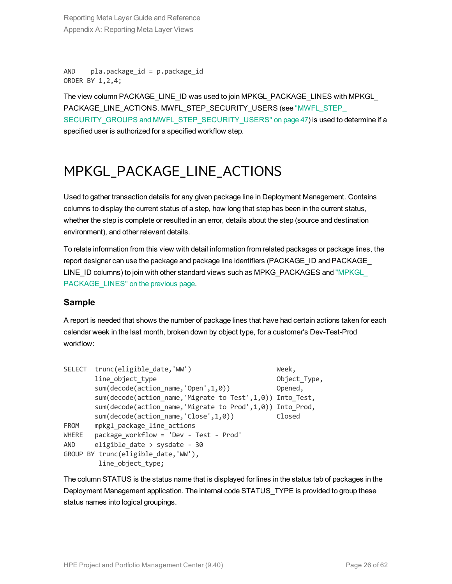AND  $p$ la.package  $id = p$ .package  $id$ ORDER BY 1,2,4;

The view column PACKAGE\_LINE\_ID was used to join MPKGL\_PACKAGE\_LINES with MPKGL\_ PACKAGE\_LINE\_ACTIONS. MWFL\_STEP\_SECURITY\_USERS (see ["MWFL\\_STEP\\_](#page-46-2) SECURITY\_GROUPS and [MWFL\\_STEP\\_SECURITY\\_USERS"](#page-46-2) on page 47) is used to determine if a specified user is authorized for a specified workflow step.

### <span id="page-25-0"></span>MPKGL\_PACKAGE\_LINE\_ACTIONS

Used to gather transaction details for any given package line in Deployment Management. Contains columns to display the current status of a step, how long that step has been in the current status, whether the step is complete or resulted in an error, details about the step (source and destination environment), and other relevant details.

To relate information from this view with detail information from related packages or package lines, the report designer can use the package and package line identifiers (PACKAGE\_ID and PACKAGE LINE\_ID columns) to join with other standard views such as MPKG\_PACKAGES and "MPKGL [PACKAGE\\_LINES"](#page-24-0) on the previous page.

### **Sample**

A report is needed that shows the number of package lines that have had certain actions taken for each calendar week in the last month, broken down by object type, for a customer's Dev-Test-Prod workflow:

```
SELECT trunc(eligible date,'WW') Week,
      line object type 0bject Type,
      sum(decode(action name,'Open',1,0)) Opened,
      sum(decode(action_name,'Migrate to Test',1,0)) Into_Test,
      sum(decode(action name,'Migrate to Prod',1,0)) Into Prod,
      sum(decode(action_name,'Close',1,0)) Closed
FROM mpkgl package line actions
WHERE package workflow = 'Dev - Test - Prod'
AND eligible date > sysdate - 30
GROUP BY trunc(eligible_date,'WW'),
       line object type;
```
The column STATUS is the status name that is displayed for lines in the status tab of packages in the Deployment Management application. The internal code STATUS\_TYPE is provided to group these status names into logical groupings.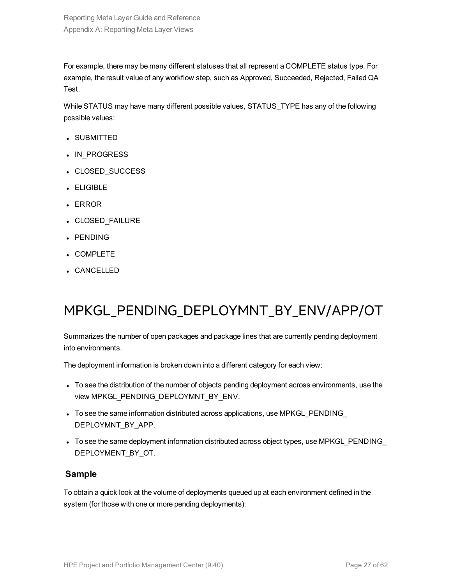For example, there may be many different statuses that all represent a COMPLETE status type. For example, the result value of any workflow step, such as Approved, Succeeded, Rejected, Failed QA Test.

While STATUS may have many different possible values, STATUS\_TYPE has any of the following possible values:

- SUBMITTED
- IN\_PROGRESS
- CLOSED SUCCESS
- ELIGIBLE
- ERROR
- CLOSED\_FAILURE
- PENDING
- COMPLETE
- <span id="page-26-0"></span>• CANCELLED

### MPKGL\_PENDING\_DEPLOYMNT\_BY\_ENV/APP/OT

Summarizes the number of open packages and package lines that are currently pending deployment into environments.

The deployment information is broken down into a different category for each view:

- To see the distribution of the number of objects pending deployment across environments, use the view MPKGL\_PENDING\_DEPLOYMNT\_BY\_ENV.
- To see the same information distributed across applications, use MPKGL\_PENDING\_ DEPLOYMNT\_BY\_APP.
- To see the same deployment information distributed across object types, use MPKGL\_PENDING\_ DEPLOYMENT\_BY\_OT.

#### **Sample**

To obtain a quick look at the volume of deployments queued up at each environment defined in the system (for those with one or more pending deployments):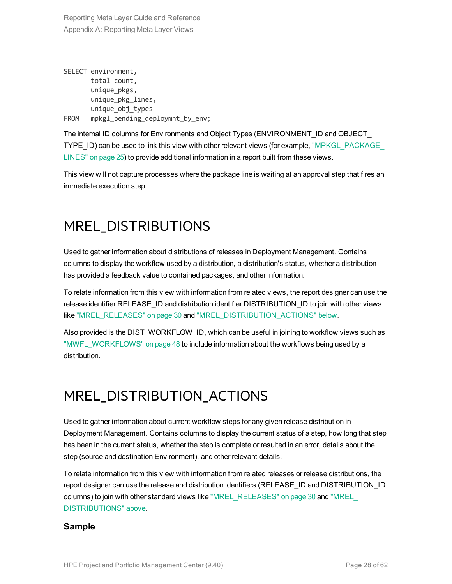```
SELECT environment,
      total count,
      unique_pkgs,
      unique_pkg_lines,
      unique_obj_types
FROM mpkgl pending deploymnt by env;
```
The internal ID columns for Environments and Object Types (ENVIRONMENT\_ID and OBJECT\_ TYPE\_ID) can be used to link this view with other relevant views (for example, ["MPKGL\\_PACKAGE\\_](#page-24-0) [LINES"](#page-24-0) on page 25) to provide additional information in a report built from these views.

<span id="page-27-0"></span>This view will not capture processes where the package line is waiting at an approval step that fires an immediate execution step.

### MREL\_DISTRIBUTIONS

Used to gather information about distributions of releases in Deployment Management. Contains columns to display the workflow used by a distribution, a distribution's status, whether a distribution has provided a feedback value to contained packages, and other information.

To relate information from this view with information from related views, the report designer can use the release identifier RELEASE\_ID and distribution identifier DISTRIBUTION\_ID to join with other views like ["MREL\\_RELEASES"](#page-29-0) on page 30 and ["MREL\\_DISTRIBUTION\\_ACTIONS"](#page-27-1) below.

Also provided is the DIST\_WORKFLOW\_ID, which can be useful in joining to workflow views such as ["MWFL\\_WORKFLOWS"](#page-47-0) on page 48 to include information about the workflows being used by a distribution.

### <span id="page-27-1"></span>MREL\_DISTRIBUTION\_ACTIONS

Used to gather information about current workflow steps for any given release distribution in Deployment Management. Contains columns to display the current status of a step, how long that step has been in the current status, whether the step is complete or resulted in an error, details about the step (source and destination Environment), and other relevant details.

To relate information from this view with information from related releases or release distributions, the report designer can use the release and distribution identifiers (RELEASE\_ID and DISTRIBUTION\_ID columns) to join with other standard views like ["MREL\\_RELEASES"](#page-29-0) on page 30 and ["MREL\\_](#page-27-0) [DISTRIBUTIONS"](#page-27-0) above.

### **Sample**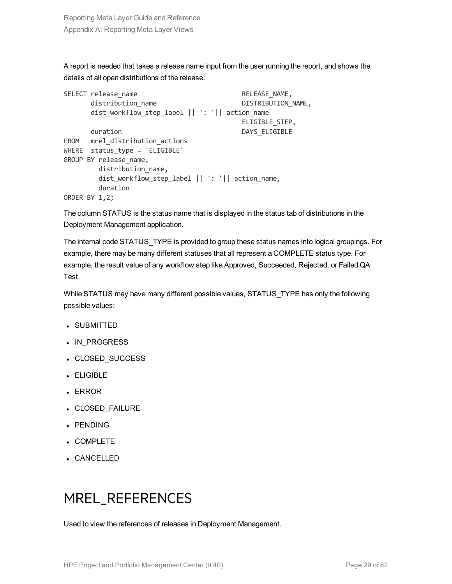A report is needed that takes a release name input from the user running the report, and shows the details of all open distributions of the release:

```
SELECT release name and a set of the RELEASE NAME,
     distribution name DISTRIBUTION NAME,
      dist_workflow_step_label || ': '|| action_name
                                       ELIGIBLE_STEP,
     duration DAYS ELIGIBLE
FROM mrel distribution actions
WHERE status type = 'ELIGIBLE'
GROUP BY release name,
       distribution name,
       dist workflow step label || ': '|| action name,
       duration
ORDER BY 1,2;
```
The column STATUS is the status name that is displayed in the status tab of distributions in the Deployment Management application.

The internal code STATUS\_TYPE is provided to group these status names into logical groupings. For example, there may be many different statuses that all represent a COMPLETE status type. For example, the result value of any workflow step like Approved, Succeeded, Rejected, or Failed QA Test.

While STATUS may have many different possible values, STATUS\_TYPE has only the following possible values:

- **.** SUBMITTED
- IN\_PROGRESS
- CLOSED\_SUCCESS
- ELIGIBLE
- <sup>l</sup> ERROR
- CLOSED\_FAILURE
- PENDING
- COMPLETE
- <span id="page-28-0"></span>• CANCELLED

### MREL\_REFERENCES

Used to view the references of releases in Deployment Management.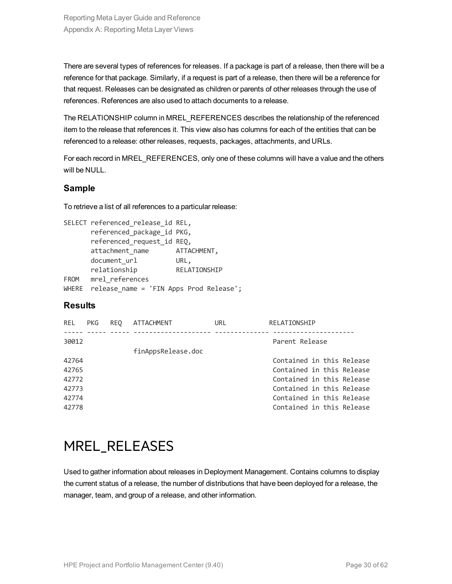There are several types of references for releases. If a package is part of a release, then there will be a reference for that package. Similarly, if a request is part of a release, then there will be a reference for that request. Releases can be designated as children or parents of other releases through the use of references. References are also used to attach documents to a release.

The RELATIONSHIP column in MREL\_REFERENCES describes the relationship of the referenced item to the release that references it. This view also has columns for each of the entities that can be referenced to a release: other releases, requests, packages, attachments, and URLs.

For each record in MREL\_REFERENCES, only one of these columns will have a value and the others will be NULL.

### **Sample**

To retrieve a list of all references to a particular release:

|             | SELECT referenced_release_id REL,       |              |
|-------------|-----------------------------------------|--------------|
|             | referenced package id PKG,              |              |
|             | referenced_request_id REQ,              |              |
|             | attachment_name                         | ATTACHMENT,  |
|             | document url                            | URL,         |
|             | relationship                            | RELATIONSHIP |
| <b>FROM</b> | mrel references                         |              |
| WHERE       | release_name = 'FIN Apps Prod Release'; |              |

### **Results**

| REL.  | PKG. | REO | <b>ATTACHMENT</b>  | URL | RELATIONSHIP              |
|-------|------|-----|--------------------|-----|---------------------------|
| 30012 |      |     | finAppsRelease.doc |     | Parent Release            |
| 42764 |      |     |                    |     | Contained in this Release |
| 42765 |      |     |                    |     | Contained in this Release |
| 42772 |      |     |                    |     | Contained in this Release |
| 42773 |      |     |                    |     | Contained in this Release |
| 42774 |      |     |                    |     | Contained in this Release |
| 42778 |      |     |                    |     | Contained in this Release |

### <span id="page-29-0"></span>MREL\_RELEASES

Used to gather information about releases in Deployment Management. Contains columns to display the current status of a release, the number of distributions that have been deployed for a release, the manager, team, and group of a release, and other information.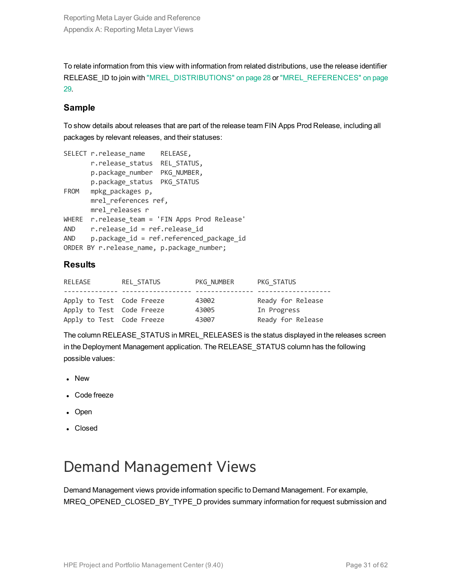To relate information from this view with information from related distributions, use the release identifier RELEASE ID to join with ["MREL\\_DISTRIBUTIONS"](#page-27-0) on page 28 or ["MREL\\_REFERENCES"](#page-28-0) on page [29.](#page-28-0)

### **Sample**

To show details about releases that are part of the release team FIN Apps Prod Release, including all packages by relevant releases, and their statuses:

```
SELECT r.release name RELEASE,
      r.release_status REL_STATUS,
      p.package_number PKG_NUMBER,
      p.package_status PKG_STATUS
FROM mpkg packages p,
      mrel_references ref,
      mrel releases r
WHERE r.release team = 'FIN Apps Prod Release'
AND r.release id = ref.release id
AND p.package id = ref.referenced package id
ORDER BY r.release name, p.package number;
```
### **Results**

| RELEASE                   | REL STATUS | PKG NUMBER | PKG STATUS        |
|---------------------------|------------|------------|-------------------|
| Apply to Test Code Freeze |            | 43002      | Ready for Release |
|                           |            |            |                   |
| Apply to Test Code Freeze |            | 43005      | In Progress       |
| Apply to Test Code Freeze |            | 43007      | Ready for Release |

The column RELEASE\_STATUS in MREL\_RELEASES is the status displayed in the releases screen in the Deployment Management application. The RELEASE\_STATUS column has the following possible values:

- New
- Code freeze
- Open
- Closed

### <span id="page-30-0"></span>Demand Management Views

Demand Management views provide information specific to Demand Management. For example, MREQ\_OPENED\_CLOSED\_BY\_TYPE\_D provides summary information for request submission and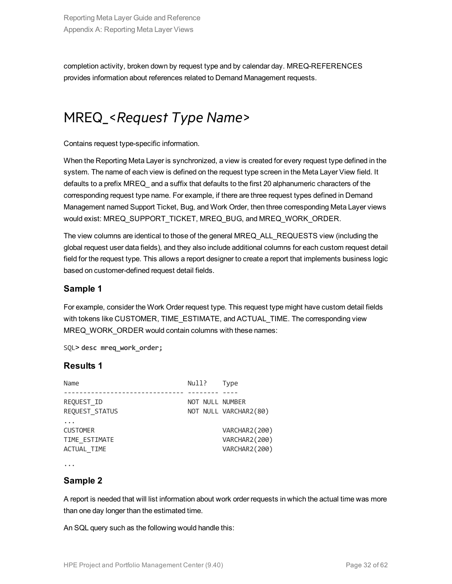<span id="page-31-0"></span>completion activity, broken down by request type and by calendar day. MREQ-REFERENCES provides information about references related to Demand Management requests.

### MREQ\_<*Request Type Name*>

Contains request type-specific information.

When the Reporting Meta Layer is synchronized, a view is created for every request type defined in the system. The name of each view is defined on the request type screen in the Meta Layer View field. It defaults to a prefix MREQ\_ and a suffix that defaults to the first 20 alphanumeric characters of the corresponding request type name. For example, if there are three request types defined in Demand Management named Support Ticket, Bug, and Work Order, then three corresponding Meta Layer views would exist: MREQ\_SUPPORT\_TICKET, MREQ\_BUG, and MREQ\_WORK\_ORDER.

The view columns are identical to those of the general MREQ\_ALL\_REQUESTS view (including the global request user data fields), and they also include additional columns for each custom request detail field for the request type. This allows a report designer to create a report that implements business logic based on customer-defined request detail fields.

### **Sample 1**

For example, consider the Work Order request type. This request type might have custom detail fields with tokens like CUSTOMER, TIME\_ESTIMATE, and ACTUAL\_TIME. The corresponding view MREQ WORK ORDER would contain columns with these names:

SQL> **desc mreq\_work\_order;**

### **Results 1**

| Name                                                   | Null?           | <b>Type</b>                                     |
|--------------------------------------------------------|-----------------|-------------------------------------------------|
| REQUEST ID<br>REQUEST STATUS                           | NOT NULL NUMBER | NOT NULL VARCHAR2(80)                           |
| <b>CUSTOMER</b><br>TIME ESTIMATE<br><b>ACTUAL TIME</b> |                 | VARCHAR2(200)<br>VARCHAR2(200)<br>VARCHAR2(200) |

...

### **Sample 2**

A report is needed that will list information about work order requests in which the actual time was more than one day longer than the estimated time.

An SQL query such as the following would handle this: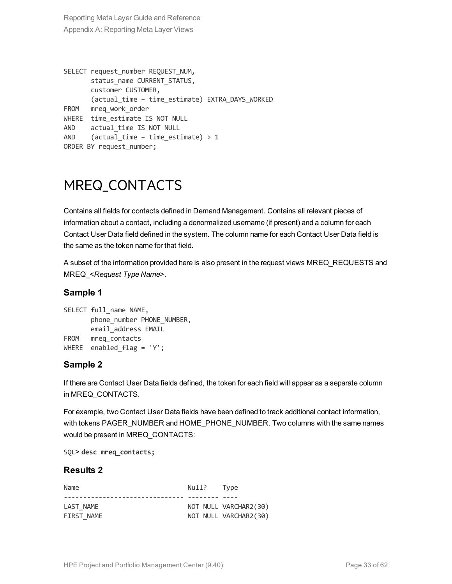```
SELECT request number REQUEST NUM,
      status name CURRENT STATUS,
      customer CUSTOMER,
      (actual_time – time_estimate) EXTRA_DAYS_WORKED
FROM mreq work order
WHERE time estimate IS NOT NULL
AND actual_time IS NOT NULL
AND (actual time – time estimate) > 1ORDER BY request number;
```
### <span id="page-32-0"></span>MREQ\_CONTACTS

Contains all fields for contacts defined in Demand Management. Contains all relevant pieces of information about a contact, including a denormalized username (if present) and a column for each Contact User Data field defined in the system. The column name for each Contact User Data field is the same as the token name for that field.

<span id="page-32-1"></span>A subset of the information provided here is also present in the request views MREQ\_REQUESTS and MREQ\_<*Request Type Name*>.

### **Sample 1**

```
SELECT full name NAME,
      phone_number_PHONE_NUMBER,
      email_address EMAIL
FROM mreq_contacts
WHERE enabled flag = 'Y';
```
### **Sample 2**

If there are Contact User Data fields defined, the token for each field will appear as a separate column in MREQ\_CONTACTS.

For example, two Contact User Data fields have been defined to track additional contact information, with tokens PAGER\_NUMBER and HOME\_PHONE\_NUMBER. Two columns with the same names would be present in MREQ\_CONTACTS:

SQL> **desc mreq\_contacts;**

#### **Results 2**

| Name       | Null? Type |                       |
|------------|------------|-----------------------|
|            |            |                       |
| LAST NAME  |            | NOT NULL VARCHAR2(30) |
| FIRST NAME |            | NOT NULL VARCHAR2(30) |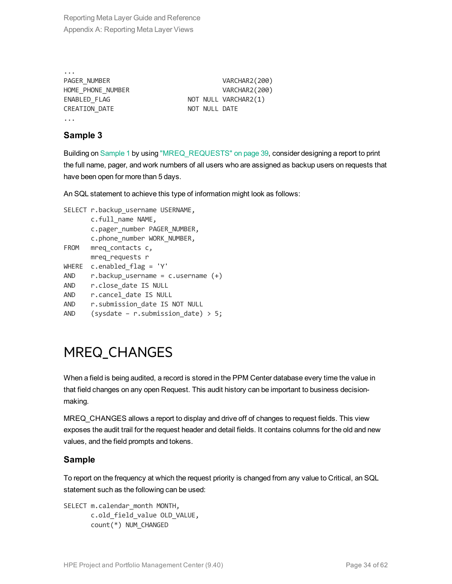| $\cdots$             |               |                      |
|----------------------|---------------|----------------------|
| PAGER NUMBER         |               | VARCHAR2(200)        |
| HOME PHONE NUMBER    |               | VARCHAR2(200)        |
| ENABLED FLAG         |               | NOT NULL VARCHAR2(1) |
| <b>CREATION DATE</b> | NOT NULL DATE |                      |
|                      |               |                      |

### **Sample 3**

Building on [Sample](#page-32-1) 1 by using ["MREQ\\_REQUESTS"](#page-38-0) on page 39, consider designing a report to print the full name, pager, and work numbers of all users who are assigned as backup users on requests that have been open for more than 5 days.

An SQL statement to achieve this type of information might look as follows:

```
SELECT r.backup username USERNAME,
      c.full_name NAME,
      c.pager_number PAGER_NUMBER,
      c.phone_number WORK_NUMBER,
FROM mreq_contacts c,
     mreq_requests r
WHERE c.enabled flag = 'Y'
AND r.backup username = c.username (+)AND r.close date IS NULL
AND r.cancel date IS NULL
AND r.submission date IS NOT NULL
AND (sysdate – r.submission date) > 5;
```
### <span id="page-33-0"></span>MREQ\_CHANGES

When a field is being audited, a record is stored in the PPM Center database every time the value in that field changes on any open Request. This audit history can be important to business decisionmaking.

MREQ\_CHANGES allows a report to display and drive off of changes to request fields. This view exposes the audit trail for the request header and detail fields. It contains columns for the old and new values, and the field prompts and tokens.

### **Sample**

To report on the frequency at which the request priority is changed from any value to Critical, an SQL statement such as the following can be used:

```
SELECT m.calendar month MONTH,
       c.old_field_value OLD_VALUE,
       count(*) NUM_CHANGED
```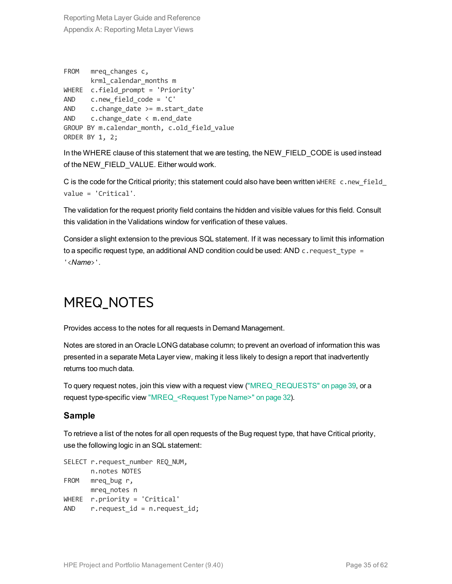```
FROM mreq_changes c,
      krml calendar months m
WHERE c.field_prompt = 'Priority'
AND c.new field code = 'C'
AND c.change_date >= m.start_date
AND c.change date \langle m.end date
GROUP BY m.calendar month, c.old field value
ORDER BY 1, 2;
```
In the WHERE clause of this statement that we are testing, the NEW\_FIELD\_CODE is used instead of the NEW\_FIELD\_VALUE. Either would work.

C is the code for the Critical priority; this statement could also have been written WHERE c.new field value = 'Critical'.

The validation for the request priority field contains the hidden and visible values for this field. Consult this validation in the Validations window for verification of these values.

Consider a slight extension to the previous SQL statement. If it was necessary to limit this information to a specific request type, an additional AND condition could be used: AND c. request type = '<*Name*>'.

### <span id="page-34-0"></span>MREQ\_NOTES

Provides access to the notes for all requests in Demand Management.

Notes are stored in an Oracle LONG database column; to prevent an overload of information this was presented in a separate Meta Layer view, making it less likely to design a report that inadvertently returns too much data.

To query request notes, join this view with a request view [\("MREQ\\_REQUESTS"](#page-38-0) on page 39, or a request type-specific view ["MREQ\\_<Request](#page-31-0) Type Name>" on page 32).

### **Sample**

To retrieve a list of the notes for all open requests of the Bug request type, that have Critical priority, use the following logic in an SQL statement:

```
SELECT r.request_number REQ_NUM,
      n.notes NOTES
FROM mreg bug r,
     mreq_notes n
WHERE r.priority = 'Critical'
AND r.request id = n.request id;
```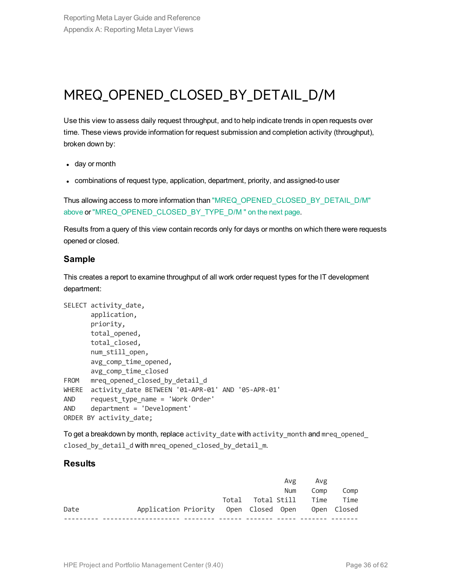### <span id="page-35-0"></span>MREQ\_OPENED\_CLOSED\_BY\_DETAIL\_D/M

Use this view to assess daily request throughput, and to help indicate trends in open requests over time. These views provide information for request submission and completion activity (throughput), broken down by:

- $\cdot$  day or month
- combinations of request type, application, department, priority, and assigned-to user

Thus allowing access to more information than ["MREQ\\_OPENED\\_CLOSED\\_BY\\_DETAIL\\_D/M"](#page-35-0) [above](#page-35-0) or ["MREQ\\_OPENED\\_CLOSED\\_BY\\_TYPE\\_D/M](#page-36-0) " on the next page.

Results from a query of this view contain records only for days or months on which there were requests opened or closed.

#### **Sample**

This creates a report to examine throughput of all work order request types for the IT development department:

```
SELECT activity date,
      application,
      priority,
      total_opened,
      total_closed,
      num still open,
      avg_comp_time_opened,
     avg_comp_time_closed
FROM mreq opened closed by detail d
WHERE activity date BETWEEN '01-APR-01' AND '05-APR-01'
AND request type name = 'Work Order'
AND department = 'Development'
ORDER BY activity date;
```
To get a breakdown by month, replace activity date with activity month and mreq opened closed by detail d with mreq opened closed by detail m.

#### **Results**

|      |                                                   |  | Avg | Avg                    |      |
|------|---------------------------------------------------|--|-----|------------------------|------|
|      |                                                   |  | Num | Comp                   | Comp |
|      |                                                   |  |     | Total Total Still Time | Time |
| Date | Application Priority Open Closed Open Open Closed |  |     |                        |      |
|      |                                                   |  |     |                        |      |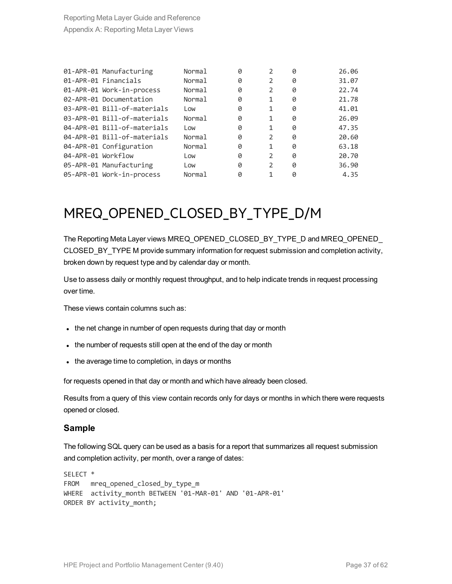|                    | 01-APR-01 Manufacturing     | <b>Normal</b> | 0 | $\mathfrak{D}$ | 0 | 26.06 |
|--------------------|-----------------------------|---------------|---|----------------|---|-------|
|                    | 01-APR-01 Financials        | Normal        | 0 | 2              | 0 | 31.07 |
|                    | 01-APR-01 Work-in-process   | Normal        | 0 | 2              | 0 | 22.74 |
|                    | 02-APR-01 Documentation     | Normal        | 0 | 1              | 0 | 21.78 |
|                    | 03-APR-01 Bill-of-materials | Low           | 0 | 1              | 0 | 41.01 |
|                    | 03-APR-01 Bill-of-materials | Normal        | 0 | 1              | Ø | 26.09 |
|                    | 04-APR-01 Bill-of-materials | Low           | 0 | 1              | 0 | 47.35 |
|                    | 04-APR-01 Bill-of-materials | Normal        | 0 | $\mathcal{P}$  | 0 | 20.60 |
|                    | 04-APR-01 Configuration     | Normal        | 0 | 1              | 0 | 63.18 |
| 04-APR-01 Workflow |                             | Low           | 0 | $\mathcal{P}$  | 0 | 20.70 |
|                    | 05-APR-01 Manufacturing     | Low           | 0 | 2              | 0 | 36.90 |
|                    | 05-APR-01 Work-in-process   | Normal        | 0 |                | 0 | 4.35  |

### <span id="page-36-0"></span>MREQ\_OPENED\_CLOSED\_BY\_TYPE\_D/M

The Reporting Meta Layer views MREQ\_OPENED\_CLOSED\_BY\_TYPE\_D and MREQ\_OPENED\_ CLOSED\_BY\_TYPE M provide summary information for request submission and completion activity, broken down by request type and by calendar day or month.

Use to assess daily or monthly request throughput, and to help indicate trends in request processing over time.

These views contain columns such as:

- the net change in number of open requests during that day or month
- the number of requests still open at the end of the day or month
- the average time to completion, in days or months

for requests opened in that day or month and which have already been closed.

Results from a query of this view contain records only for days or months in which there were requests opened or closed.

#### **Sample**

The following SQL query can be used as a basis for a report that summarizes all request submission and completion activity, per month, over a range of dates:

```
SELECT *
FROM mreq opened closed by type m
WHERE activity month BETWEEN '01-MAR-01' AND '01-APR-01'
ORDER BY activity month;
```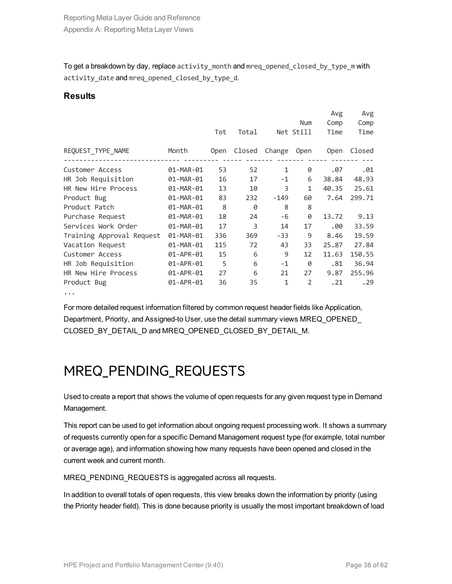To get a breakdown by day, replace activity month and mreq opened closed by type m with activity date and mreq opened closed by type d.

#### **Results**

|                           |           |      |        |        | Num            | Avg<br>Comp | Avg<br>Comp |
|---------------------------|-----------|------|--------|--------|----------------|-------------|-------------|
|                           |           | Tot  | Total  |        | Net Still      | Time        | Time        |
| REQUEST_TYPE_NAME         | Month     | Open | Closed | Change | <b>Open</b>    | <b>Open</b> | Closed      |
| Customer Access           | 01-MAR-01 | 53   | 52     | 1      | 0              | .07         | .01         |
| HR Job Requisition        | 01-MAR-01 | 16   | 17     | $-1$   | 6              | 38.84       | 48.93       |
| HR New Hire Process       | 01-MAR-01 | 13   | 10     | 3      | 1              | 40.35       | 25.61       |
| Product Bug               | 01-MAR-01 | 83   | 232    | $-149$ | 60             | 7.64        | 299.71      |
| Product Patch             | 01-MAR-01 | 8    | 0      | 8      | 8              |             |             |
| Purchase Request          | 01-MAR-01 | 18   | 24     | -6     | 0              | 13.72       | 9.13        |
| Services Work Order       | 01-MAR-01 | 17   | 3      | 14     | 17             | .00         | 33.59       |
| Training Approval Request | 01-MAR-01 | 336  | 369    | $-33$  | 9              | 8.46        | 19.59       |
| Vacation Request          | 01-MAR-01 | 115  | 72     | 43     | 33             | 25.87       | 27.84       |
| Customer Access           | 01-APR-01 | 15   | 6      | 9      | 12             | 11.63       | 150.55      |
| HR Job Requisition        | 01-APR-01 | 5    | 6      | $-1$   | Ø              | .81         | 36.94       |
| HR New Hire Process       | 01-APR-01 | 27   | 6      | 21     | 27             | 9.87        | 255.96      |
| Product Bug               | 01-APR-01 | 36   | 35     | 1      | $\overline{2}$ | .21         | . 29        |
|                           |           |      |        |        |                |             |             |

For more detailed request information filtered by common request header fields like Application, Department, Priority, and Assigned-to User, use the detail summary views MREQ\_OPENED\_ CLOSED\_BY\_DETAIL\_D and MREQ\_OPENED\_CLOSED\_BY\_DETAIL\_M.

### <span id="page-37-0"></span>MREQ\_PENDING\_REQUESTS

Used to create a report that shows the volume of open requests for any given request type in Demand Management.

This report can be used to get information about ongoing request processing work. It shows a summary of requests currently open for a specific Demand Management request type (for example, total number or average age), and information showing how many requests have been opened and closed in the current week and current month.

MREQ\_PENDING\_REQUESTS is aggregated across all requests.

In addition to overall totals of open requests, this view breaks down the information by priority (using the Priority header field). This is done because priority is usually the most important breakdown of load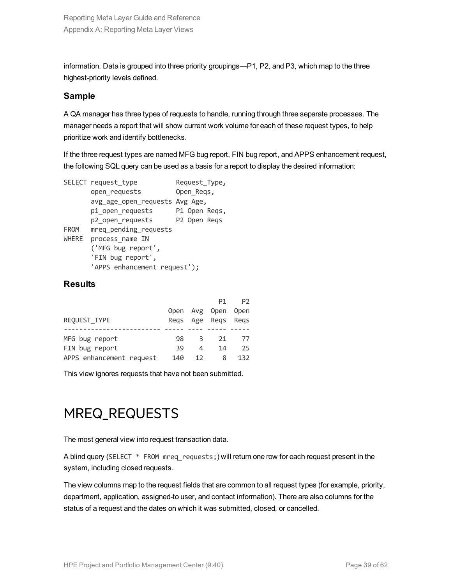information. Data is grouped into three priority groupings—P1, P2, and P3, which map to the three highest-priority levels defined.

#### **Sample**

A QA manager has three types of requests to handle, running through three separate processes. The manager needs a report that will show current work volume for each of these request types, to help prioritize work and identify bottlenecks.

If the three request types are named MFG bug report, FIN bug report, and APPS enhancement request, the following SQL query can be used as a basis for a report to display the desired information:

```
SELECT request_type Request_Type,
      open_requests Open_Reqs,
      avg_age_open_requests Avg Age,
      p1_open_requests P1 Open Reqs,
      p2_open_requests P2 Open Reqs
FROM mreq_pending_requests
WHERE process name IN
      ('MFG bug report',
      'FIN bug report',
      'APPS enhancement request');
```
### **Results**

|                          |      |                | P1            | P <sub>2</sub> |
|--------------------------|------|----------------|---------------|----------------|
|                          | Open |                | Avg Open Open |                |
| REQUEST TYPE             | Regs |                | Age Regs      | Regs           |
|                          |      |                |               |                |
| MFG bug report           | 98   | 3              | 21            | 77             |
| FIN bug report           | 39   | $\overline{a}$ | 14            | 25             |
| APPS enhancement request | 140  | 12             | 8             | 132            |

<span id="page-38-0"></span>This view ignores requests that have not been submitted.

### MREQ\_REQUESTS

The most general view into request transaction data.

A blind query (SELECT \* FROM mreq requests;) will return one row for each request present in the system, including closed requests.

The view columns map to the request fields that are common to all request types (for example, priority, department, application, assigned-to user, and contact information). There are also columns for the status of a request and the dates on which it was submitted, closed, or cancelled.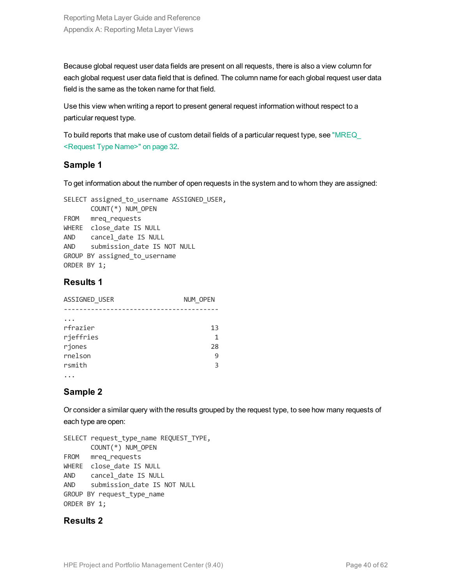Because global request user data fields are present on all requests, there is also a view column for each global request user data field that is defined. The column name for each global request user data field is the same as the token name for that field.

Use this view when writing a report to present general request information without respect to a particular request type.

To build reports that make use of custom detail fields of a particular request type, see ["MREQ\\_](#page-31-0) [<Request](#page-31-0) Type Name>" on page 32.

### **Sample 1**

To get information about the number of open requests in the system and to whom they are assigned:

```
SELECT assigned to username ASSIGNED USER,
     COUNT(*) NUM_OPEN
FROM mreq_requests
WHERE close date IS NULL
AND cancel_date IS NULL
AND submission_date IS NOT NULL
GROUP BY assigned to username
ORDER BY 1;
```
### **Results 1**

| ASSIGNED_USER | NUM OPEN |
|---------------|----------|
|               |          |
|               |          |
| rfrazier      | 13       |
| rjeffries     | 1        |
| rjones        | 28       |
| rnelson       | 9        |
| rsmith        | 3        |
| .             |          |

### **Sample 2**

Or consider a similar query with the results grouped by the request type, to see how many requests of each type are open:

```
SELECT request_type_name REQUEST_TYPE,
      COUNT(*) NUM_OPEN
FROM mreq requests
WHERE close_date IS NULL
AND cancel date IS NULL
AND submission_date IS NOT NULL
GROUP BY request_type_name
ORDER BY 1;
```
### **Results 2**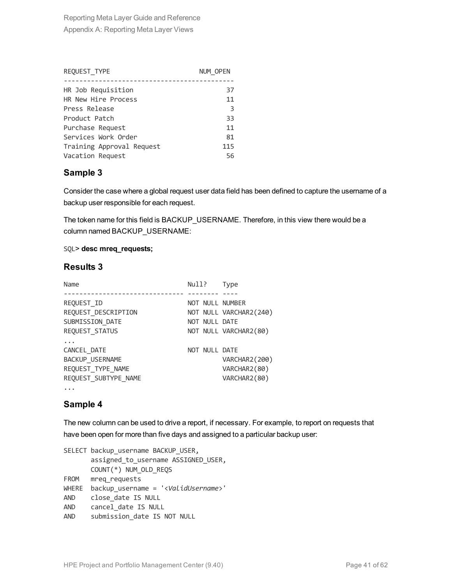| REQUEST TYPE              | NUM OPEN |
|---------------------------|----------|
|                           |          |
| HR Job Requisition        | 37       |
| HR New Hire Process       | 11       |
| Press Release             | -3       |
| Product Patch             | 33       |
| Purchase Request          | 11       |
| Services Work Order       | 81       |
| Training Approval Request | 115      |
| Vacation Request          | 56       |

### **Sample 3**

Consider the case where a global request user data field has been defined to capture the username of a backup user responsible for each request.

The token name for this field is BACKUP\_USERNAME. Therefore, in this view there would be a column named BACKUP\_USERNAME:

#### SQL> **desc mreq\_requests;**

#### **Results 3**

| Name                 | Null?           | <b>Type</b>            |
|----------------------|-----------------|------------------------|
|                      |                 |                        |
| REQUEST ID           | NOT NULL NUMBER |                        |
| REQUEST_DESCRIPTION  |                 | NOT NULL VARCHAR2(240) |
| SUBMISSION DATE      | NOT NULL DATE   |                        |
| REQUEST STATUS       |                 | NOT NULL VARCHAR2(80)  |
|                      |                 |                        |
| CANCEL DATE          | NOT NULL DATE   |                        |
| BACKUP USERNAME      |                 | VARCHAR2(200)          |
| REQUEST TYPE NAME    |                 | VARCHAR2(80)           |
| REQUEST SUBTYPE NAME |                 | VARCHAR2(80)           |
|                      |                 |                        |

### **Sample 4**

The new column can be used to drive a report, if necessary. For example, to report on requests that have been open for more than five days and assigned to a particular backup user:

SELECT backup username BACKUP USER, assigned\_to\_username ASSIGNED\_USER, COUNT(\*) NUM\_OLD\_REQS FROM mreq requests WHERE backup\_username = '<*ValidUsername*>' AND close date IS NULL AND cancel\_date IS NULL AND submission date IS NOT NULL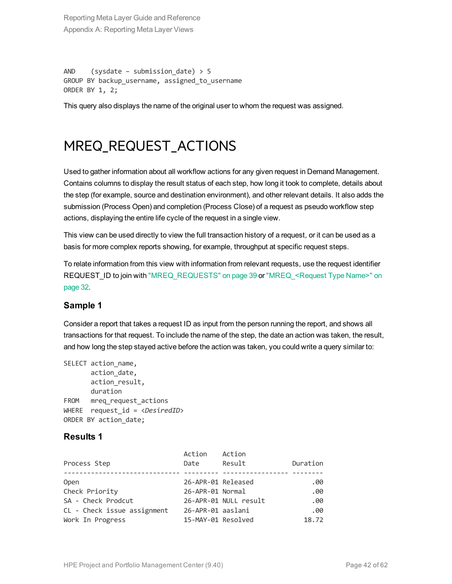AND (sysdate – submission date)  $> 5$ GROUP BY backup username, assigned to username ORDER BY 1, 2;

<span id="page-41-0"></span>This query also displays the name of the original user to whom the request was assigned.

### MREQ\_REQUEST\_ACTIONS

Used to gather information about all workflow actions for any given request in Demand Management. Contains columns to display the result status of each step, how long it took to complete, details about the step (for example, source and destination environment), and other relevant details. It also adds the submission (Process Open) and completion (Process Close) of a request as pseudo workflow step actions, displaying the entire life cycle of the request in a single view.

This view can be used directly to view the full transaction history of a request, or it can be used as a basis for more complex reports showing, for example, throughput at specific request steps.

To relate information from this view with information from relevant requests, use the request identifier REQUEST\_ID to join with ["MREQ\\_REQUESTS"](#page-38-0) on page 39 or ["MREQ\\_<Request](#page-31-0) Type Name>" on [page](#page-31-0) 32.

### **Sample 1**

Consider a report that takes a request ID as input from the person running the report, and shows all transactions for that request. To include the name of the step, the date an action was taken, the result, and how long the step stayed active before the action was taken, you could write a query similar to:

```
SELECT action name,
      action date,
      action result,
      duration
FROM mreq_request_actions
WHERE request id = <DesiredID>
ORDER BY action_date;
```
#### **Results 1**

|                             | Action             | Action                |          |
|-----------------------------|--------------------|-----------------------|----------|
| Process Step                | Date               | Result                | Duration |
|                             |                    |                       |          |
| <b>Open</b>                 | 26-APR-01 Released |                       | .00      |
| Check Priority              | 26-APR-01 Normal   |                       | .00      |
| SA - Check Prodcut          |                    | 26-APR-01 NULL result | .00      |
| CL - Check issue assignment | 26-APR-01 aaslani  |                       | .00      |
| Work In Progress            | 15-MAY-01 Resolved |                       | 18.72    |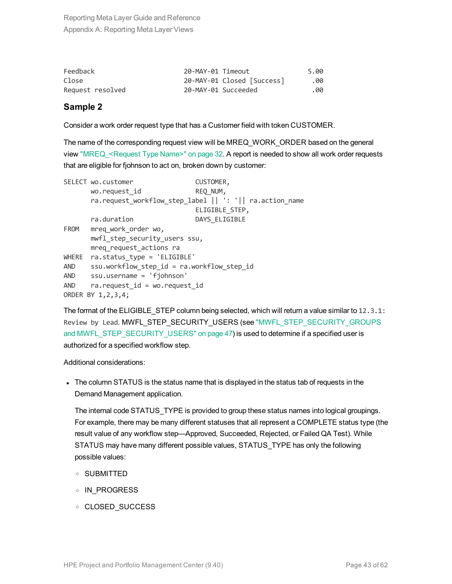| Feedback         | 20-MAY-01 Timeout |                            | 5.00 |
|------------------|-------------------|----------------------------|------|
| Close            |                   | 20-MAY-01 Closed [Success] | .00  |
| Request resolved |                   | 20-MAY-01 Succeeded        | .00  |

#### **Sample 2**

Consider a work order request type that has a Customer field with token CUSTOMER.

The name of the corresponding request view will be MREQ\_WORK\_ORDER based on the general view ["MREQ\\_<Request](#page-31-0) Type Name>" on page 32. A report is needed to show all work order requests that are eligible for fjohnson to act on, broken down by customer:

|            | SELECT wo.customer                         | CUSTOMER,                                               |  |  |  |
|------------|--------------------------------------------|---------------------------------------------------------|--|--|--|
|            | wo.request id                              | REQ_NUM,                                                |  |  |  |
|            |                                            | ra.request_workflow_step_label    ': '   ra.action_name |  |  |  |
|            |                                            | ELIGIBLE STEP,                                          |  |  |  |
|            | ra.duration                                | DAYS_ELIGIBLE                                           |  |  |  |
| FROM       | mreq work order wo,                        |                                                         |  |  |  |
|            | mwfl_step_security_users ssu,              |                                                         |  |  |  |
|            | mreq request actions ra                    |                                                         |  |  |  |
| WHERE      | ra.status type = 'ELIGIBLE'                |                                                         |  |  |  |
| <b>AND</b> | ssu.workflow_step_id = ra.workflow_step id |                                                         |  |  |  |
| <b>AND</b> | ssu.username = 'fjohnson'                  |                                                         |  |  |  |
| <b>AND</b> | ra. request $id = wo$ . request $id$       |                                                         |  |  |  |
|            | ORDER BY 1,2,3,4;                          |                                                         |  |  |  |

The format of the ELIGIBLE STEP column being selected, which will return a value similar to 12.3.1: Review by Lead. MWFL STEP SECURITY USERS (see "MWFL STEP SECURITY GROUPS and [MWFL\\_STEP\\_SECURITY\\_USERS"](#page-46-2) on page 47) is used to determine if a specified user is authorized for a specified workflow step.

Additional considerations:

• The column STATUS is the status name that is displayed in the status tab of requests in the Demand Management application.

The internal code STATUS TYPE is provided to group these status names into logical groupings. For example, there may be many different statuses that all represent a COMPLETE status type (the result value of any workflow step—Approved, Succeeded, Rejected, or Failed QA Test). While STATUS may have many different possible values, STATUS\_TYPE has only the following possible values:

- <sup>o</sup> SUBMITTED
- <sup>o</sup> IN\_PROGRESS
- <sup>o</sup> CLOSED\_SUCCESS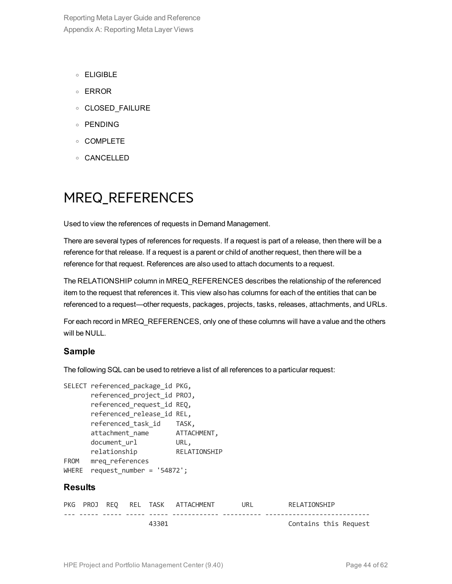- <sup>o</sup> ELIGIBLE
- <sup>o</sup> ERROR
- <sup>o</sup> CLOSED\_FAILURE
- <sup>o</sup> PENDING
- <sup>o</sup> COMPLETE
- <span id="page-43-0"></span><sup>o</sup> CANCELLED

### MREQ\_REFERENCES

Used to view the references of requests in Demand Management.

There are several types of references for requests. If a request is part of a release, then there will be a reference for that release. If a request is a parent or child of another request, then there will be a reference for that request. References are also used to attach documents to a request.

The RELATIONSHIP column in MREQ\_REFERENCES describes the relationship of the referenced item to the request that references it. This view also has columns for each of the entities that can be referenced to a request—other requests, packages, projects, tasks, releases, attachments, and URLs.

For each record in MREQ\_REFERENCES, only one of these columns will have a value and the others will be NULL.

#### **Sample**

The following SQL can be used to retrieve a list of all references to a particular request:

```
SELECT referenced package id PKG,
      referenced_project_id PROJ,
      referenced_request_id REQ,
      referenced release id REL,
      referenced_task_id TASK,
      attachment_name ATTACHMENT,
      document url URL,
     relationship RELATIONSHIP
FROM mreq_references
WHERE request number = '54872';
```
#### **Results**

|  |  |       | PKG PROJ REO REL TASK ATTACHMENT | URL | RELATIONSHIP          |
|--|--|-------|----------------------------------|-----|-----------------------|
|  |  |       |                                  |     |                       |
|  |  | 43301 |                                  |     | Contains this Request |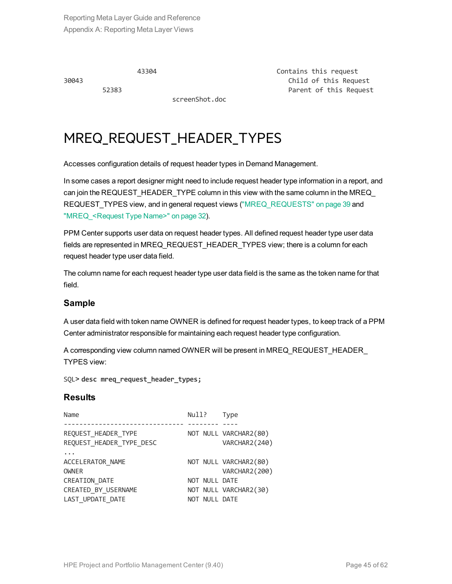screenShot.doc

43304 Contains this request 30043 Child of this Request 52383 Parent of this Request

### <span id="page-44-0"></span>MREQ\_REQUEST\_HEADER\_TYPES

Accesses configuration details of request header types in Demand Management.

In some cases a report designer might need to include request header type information in a report, and can join the REQUEST\_HEADER\_TYPE column in this view with the same column in the MREQ REQUEST\_TYPES view, and in general request views [\("MREQ\\_REQUESTS"](#page-38-0) on page 39 and "MREQ <Request Type Name>" on page 32).

PPM Center supports user data on request header types. All defined request header type user data fields are represented in MREQ\_REQUEST\_HEADER\_TYPES view; there is a column for each request header type user data field.

The column name for each request header type user data field is the same as the token name for that field.

### **Sample**

A user data field with token name OWNER is defined for request header types, to keep track of a PPM Center administrator responsible for maintaining each request header type configuration.

A corresponding view column named OWNER will be present in MREQ\_REQUEST\_HEADER\_ TYPES view:

SQL> **desc mreq\_request\_header\_types;**

### **Results**

```
Name Null? Type
------------------------------- -------- ----
REQUEST HEADER TYPE NOT NULL VARCHAR2(80)
REQUEST_HEADER_TYPE_DESC VARCHAR2(240)
...
ACCELERATOR_NAME NOT NULL VARCHAR2(80)
OWNER VARCHAR2(200)
CREATION DATE NOT NULL DATE
CREATED_BY_USERNAME NOT NULL VARCHAR2(30)<br>LAST UPDATE DATE NOT NULL DATE
LAST UPDATE DATE NOT NULL DATE
```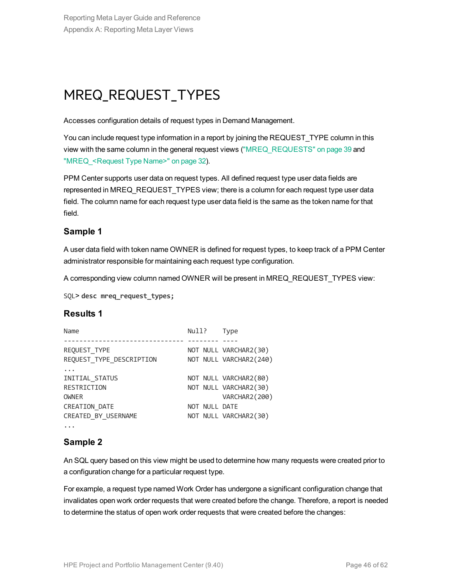### <span id="page-45-0"></span>MREQ\_REQUEST\_TYPES

Accesses configuration details of request types in Demand Management.

You can include request type information in a report by joining the REQUEST\_TYPE column in this view with the same column in the general request views [\("MREQ\\_REQUESTS"](#page-38-0) on page 39 and ["MREQ\\_<Request](#page-31-0) Type Name>" on page 32).

PPM Center supports user data on request types. All defined request type user data fields are represented in MREQ\_REQUEST\_TYPES view; there is a column for each request type user data field. The column name for each request type user data field is the same as the token name for that field.

### **Sample 1**

A user data field with token name OWNER is defined for request types, to keep track of a PPM Center administrator responsible for maintaining each request type configuration.

A corresponding view column named OWNER will be present in MREQ\_REQUEST\_TYPES view:

```
SQL> desc mreq_request_types;
```
### **Results 1**

| Name                     | Null?         | <b>Type</b>            |
|--------------------------|---------------|------------------------|
|                          |               |                        |
| REQUEST TYPE             |               | NOT NULL VARCHAR2(30)  |
| REQUEST TYPE DESCRIPTION |               | NOT NULL VARCHAR2(240) |
|                          |               |                        |
| INITIAL STATUS           |               | NOT NULL VARCHAR2(80)  |
| RESTRICTION              |               | NOT NULL VARCHAR2(30)  |
| <b>OWNER</b>             |               | VARCHAR2 (200)         |
| CREATION_DATE            | NOT NULL DATE |                        |
| CREATED BY USERNAME      |               | NOT NULL VARCHAR2(30)  |
|                          |               |                        |

### **Sample 2**

An SQL query based on this view might be used to determine how many requests were created prior to a configuration change for a particular request type.

For example, a request type named Work Order has undergone a significant configuration change that invalidates open work order requests that were created before the change. Therefore, a report is needed to determine the status of open work order requests that were created before the changes: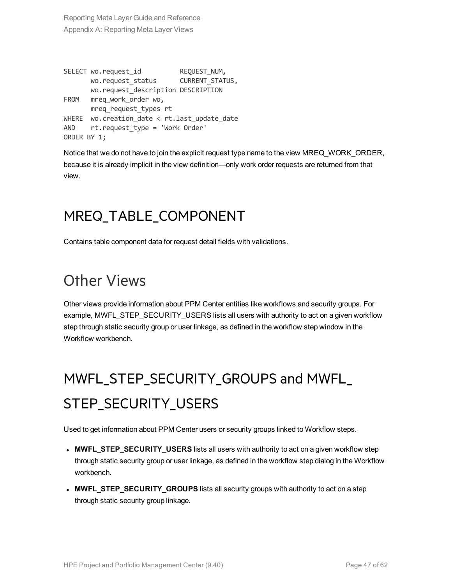```
SELECT wo.request id REQUEST NUM,
      wo.request_status CURRENT STATUS,
      wo.request_description DESCRIPTION
FROM mreq_work_order wo,
     mreq_request_types rt
WHERE wo.creation date \langle rt.last update date
AND rt.request type = 'Work Order'
ORDER BY 1;
```
Notice that we do not have to join the explicit request type name to the view MREQ\_WORK\_ORDER, because it is already implicit in the view definition—only work order requests are returned from that view.

### <span id="page-46-0"></span>MREQ\_TABLE\_COMPONENT

Contains table component data for request detail fields with validations.

### <span id="page-46-1"></span>Other Views

Other views provide information about PPM Center entities like workflows and security groups. For example, MWFL\_STEP\_SECURITY\_USERS lists all users with authority to act on a given workflow step through static security group or user linkage, as defined in the workflow step window in the Workflow workbench.

## <span id="page-46-2"></span>MWFL\_STEP\_SECURITY\_GROUPS and MWFL\_ STEP\_SECURITY\_USERS

Used to get information about PPM Center users or security groups linked to Workflow steps.

- **MWFL\_STEP\_SECURITY\_USERS** lists all users with authority to act on a given workflow step through static security group or user linkage, as defined in the workflow step dialog in the Workflow workbench.
- **MWFL\_STEP\_SECURITY\_GROUPS** lists all security groups with authority to act on a step through static security group linkage.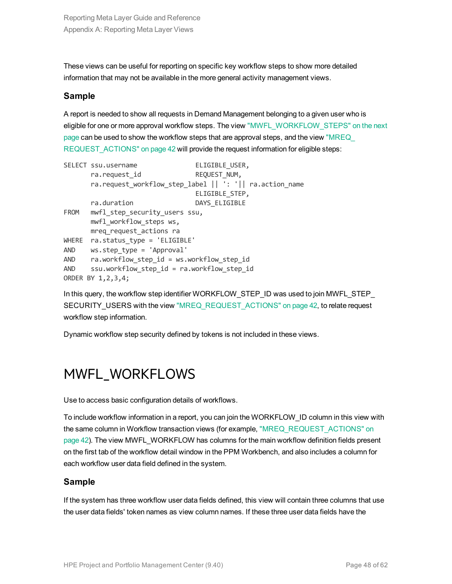These views can be useful for reporting on specific key workflow steps to show more detailed information that may not be available in the more general activity management views.

#### **Sample**

A report is needed to show all requests in Demand Management belonging to a given user who is eligible for one or more approval workflow steps. The view ["MWFL\\_WORKFLOW\\_STEPS"](#page-48-0) on the next [page](#page-48-0) can be used to show the workflow steps that are approval steps, and the view "MREQ [REQUEST\\_ACTIONS"](#page-41-0) on page 42 will provide the request information for eligible steps:

```
SELECT ssu.username ELIGIBLE USER,
      ra.request_id REQUEST_NUM,
      ra.request_workflow_step_label || ': '|| ra.action_name
                             ELIGIBLE_STEP,
     ra.duration DAYS ELIGIBLE
FROM mwfl step_security_users ssu,
     mwfl workflow steps ws,
     mreq_request_actions ra
WHERE ra.status type = 'ELIGIBLE'
AND ws.step_type = 'Approval'
AND ra.workflow step id = ws.workflow step id
AND ssu.workflow step id = ra.workflow step id
ORDER BY 1,2,3,4;
```
In this query, the workflow step identifier WORKFLOW\_STEP\_ID was used to join MWFL\_STEP\_ SECURITY USERS with the view ["MREQ\\_REQUEST\\_ACTIONS"](#page-41-0) on page 42, to relate request workflow step information.

<span id="page-47-0"></span>Dynamic workflow step security defined by tokens is not included in these views.

### MWFL\_WORKFLOWS

Use to access basic configuration details of workflows.

To include workflow information in a report, you can join the WORKFLOW\_ID column in this view with the same column in Workflow transaction views (for example, ["MREQ\\_REQUEST\\_ACTIONS"](#page-41-0) on [page](#page-41-0) 42). The view MWFL\_WORKFLOW has columns for the main workflow definition fields present on the first tab of the workflow detail window in the PPM Workbench, and also includes a column for each workflow user data field defined in the system.

### **Sample**

If the system has three workflow user data fields defined, this view will contain three columns that use the user data fields' token names as view column names. If these three user data fields have the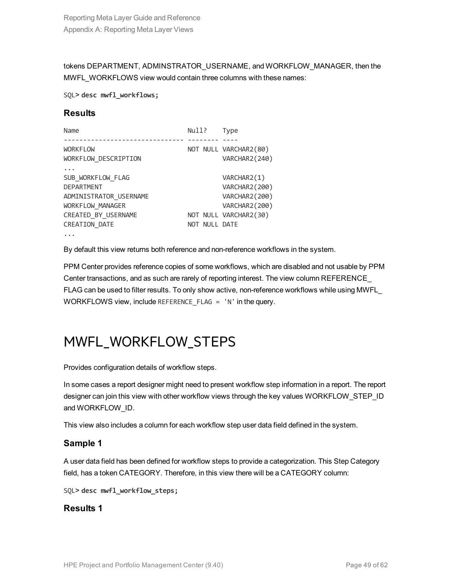tokens DEPARTMENT, ADMINSTRATOR\_USERNAME, and WORKFLOW\_MANAGER, then the MWFL\_WORKFLOWS view would contain three columns with these names:

SQL> **desc mwfl\_workflows;**

#### **Results**

| Name                   | Null?         | <b>Type</b>           |
|------------------------|---------------|-----------------------|
|                        |               |                       |
| <b>WORKFLOW</b>        |               | NOT NULL VARCHAR2(80) |
| WORKFLOW DESCRIPTION   |               | VARCHAR2(240)         |
|                        |               |                       |
| SUB WORKFLOW FLAG      |               | VARCHAR2(1)           |
| <b>DEPARTMENT</b>      |               | VARCHAR2(200)         |
| ADMINISTRATOR USERNAME |               | VARCHAR2(200)         |
| WORKFLOW MANAGER       |               | VARCHAR2(200)         |
| CREATED BY USERNAME    |               | NOT NULL VARCHAR2(30) |
| CREATION DATE          | NOT NULL DATE |                       |

...

By default this view returns both reference and non-reference workflows in the system.

PPM Center provides reference copies of some workflows, which are disabled and not usable by PPM Center transactions, and as such are rarely of reporting interest. The view column REFERENCE\_ FLAG can be used to filter results. To only show active, non-reference workflows while using MWFL\_ WORKFLOWS view, include REFERENCE\_FLAG = 'N' in the query.

### <span id="page-48-0"></span>MWFL\_WORKFLOW\_STEPS

Provides configuration details of workflow steps.

In some cases a report designer might need to present workflow step information in a report. The report designer can join this view with other workflow views through the key values WORKFLOW\_STEP\_ID and WORKFLOW\_ID.

This view also includes a column for each workflow step user data field defined in the system.

### **Sample 1**

A user data field has been defined for workflow steps to provide a categorization. This Step Category field, has a token CATEGORY. Therefore, in this view there will be a CATEGORY column:

SQL> **desc mwfl\_workflow\_steps;**

#### **Results 1**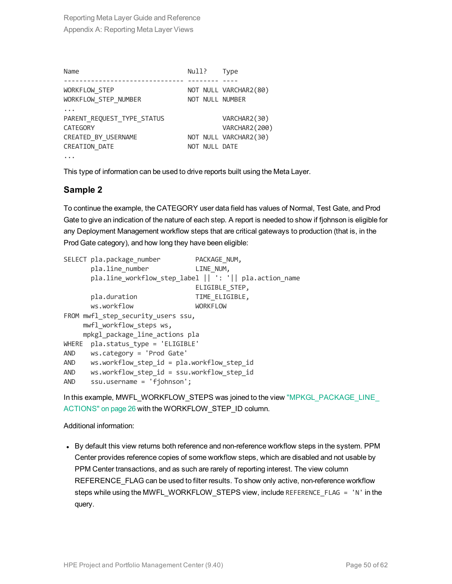| Name                       | Null?           | <b>Type</b>           |
|----------------------------|-----------------|-----------------------|
|                            |                 |                       |
| <b>WORKFLOW STEP</b>       |                 | NOT NULL VARCHAR2(80) |
| WORKFLOW STEP NUMBER       | NOT NULL NUMBER |                       |
|                            |                 |                       |
| PARENT_REQUEST_TYPE_STATUS |                 | VARCHAR2(30)          |
| <b>CATEGORY</b>            |                 | VARCHAR2(200)         |
| CREATED BY USERNAME        |                 | NOT NULL VARCHAR2(30) |
| CREATION DATE              | NOT NULL DATE   |                       |
|                            |                 |                       |

This type of information can be used to drive reports built using the Meta Layer.

### **Sample 2**

To continue the example, the CATEGORY user data field has values of Normal, Test Gate, and Prod Gate to give an indication of the nature of each step. A report is needed to show if fjohnson is eligible for any Deployment Management workflow steps that are critical gateways to production (that is, in the Prod Gate category), and how long they have been eligible:

|            | SELECT pla.package number                  | PACKAGE NUM,                                           |  |  |
|------------|--------------------------------------------|--------------------------------------------------------|--|--|
|            | pla.line number                            | LINE NUM,                                              |  |  |
|            |                                            | pla.line_workflow_step_label    ': '   pla.action_name |  |  |
|            |                                            | ELIGIBLE STEP,                                         |  |  |
|            | pla.duration                               | TIME ELIGIBLE,                                         |  |  |
|            | ws.workflow                                | <b>WORKFLOW</b>                                        |  |  |
|            | FROM mwfl step security users ssu,         |                                                        |  |  |
|            | mwfl workflow steps ws,                    |                                                        |  |  |
|            | mpkgl package line actions pla             |                                                        |  |  |
| WHERE      | pla.status type = 'ELIGIBLE'               |                                                        |  |  |
| <b>AND</b> | ws.category = 'Prod Gate'                  |                                                        |  |  |
| <b>AND</b> | ws.workflow_step_id = pla.workflow_step_id |                                                        |  |  |
| <b>AND</b> | ws.workflow_step_id = ssu.workflow step id |                                                        |  |  |
| <b>AND</b> | $ssu.$ username = 'fjohnson';              |                                                        |  |  |

In this example, MWFL\_WORKFLOW\_STEPS was joined to the view ["MPKGL\\_PACKAGE\\_LINE\\_](#page-25-0) [ACTIONS"](#page-25-0) on page 26 with the WORKFLOW\_STEP\_ID column.

Additional information:

• By default this view returns both reference and non-reference workflow steps in the system. PPM Center provides reference copies of some workflow steps, which are disabled and not usable by PPM Center transactions, and as such are rarely of reporting interest. The view column REFERENCE\_FLAG can be used to filter results. To show only active, non-reference workflow steps while using the MWFL\_WORKFLOW\_STEPS view, include REFERENCE\_FLAG = 'N' in the query.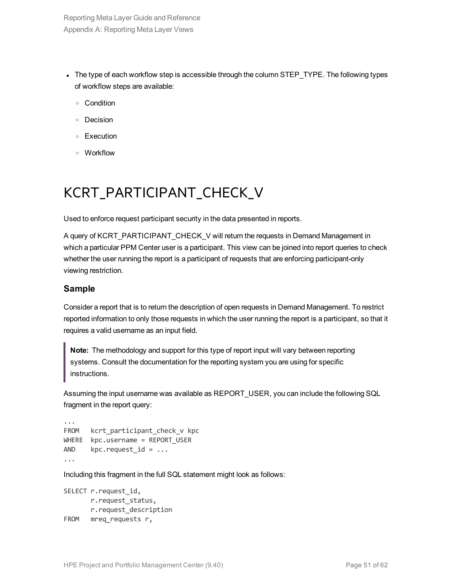- The type of each workflow step is accessible through the column STEP\_TYPE. The following types of workflow steps are available:
	- <sup>o</sup> Condition
	- <sup>o</sup> Decision
	- <sup>o</sup> Execution
	- <sup>o</sup> Workflow

## <span id="page-50-0"></span>KCRT\_PARTICIPANT\_CHECK\_V

Used to enforce request participant security in the data presented in reports.

A query of KCRT\_PARTICIPANT\_CHECK\_V will return the requests in Demand Management in which a particular PPM Center user is a participant. This view can be joined into report queries to check whether the user running the report is a participant of requests that are enforcing participant-only viewing restriction.

### **Sample**

Consider a report that is to return the description of open requests in Demand Management. To restrict reported information to only those requests in which the user running the report is a participant, so that it requires a valid username as an input field.

**Note:** The methodology and support for this type of report input will vary between reporting systems. Consult the documentation for the reporting system you are using for specific instructions.

Assuming the input username was available as REPORT\_USER, you can include the following SQL fragment in the report query:

```
...
FROM kcrt participant check v kpc
WHERE kpc.username = REPORT USER
AND kpc.request id = ...
...
```
Including this fragment in the full SQL statement might look as follows:

```
SELECT r.request_id,
      r.request_status,
      r.request_description
FROM mreq requests r,
```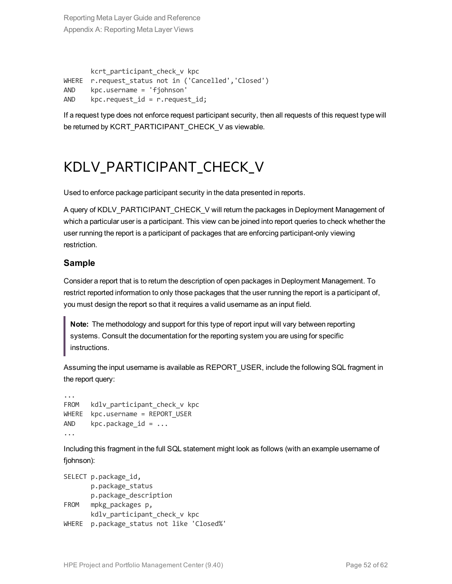kcrt participant check v kpc WHERE r.request status not in ('Cancelled','Closed') AND kpc.username = 'fjohnson' AND  $kpc.readuest_id = r.readuest_id;$ 

<span id="page-51-0"></span>If a request type does not enforce request participant security, then all requests of this request type will be returned by KCRT\_PARTICIPANT\_CHECK\_V as viewable.

### KDLV\_PARTICIPANT\_CHECK\_V

Used to enforce package participant security in the data presented in reports.

A query of KDLV\_PARTICIPANT\_CHECK\_V will return the packages in Deployment Management of which a particular user is a participant. This view can be joined into report queries to check whether the user running the report is a participant of packages that are enforcing participant-only viewing restriction.

### **Sample**

Consider a report that is to return the description of open packages in Deployment Management. To restrict reported information to only those packages that the user running the report is a participant of, you must design the report so that it requires a valid username as an input field.

**Note:** The methodology and support for this type of report input will vary between reporting systems. Consult the documentation for the reporting system you are using for specific instructions.

Assuming the input username is available as REPORT USER, include the following SQL fragment in the report query:

```
...
FROM kdlv participant check v kpc
WHERE kpc.username = REPORT USER
AND kpc.package_id = ......
```
Including this fragment in the full SQL statement might look as follows (with an example username of fjohnson):

```
SELECT p.package id,
       p.package_status
      p.package_description
FROM mpkg_packages p,
      kdlv participant check v kpc
WHERE p.package status not like 'Closed%'
```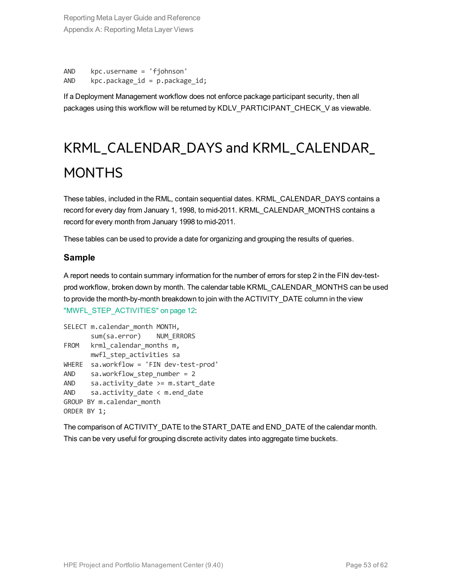```
AND kpc.username = 'fjohnson'
AND kpc.package id = p.package id;
```
<span id="page-52-0"></span>If a Deployment Management workflow does not enforce package participant security, then all packages using this workflow will be returned by KDLV\_PARTICIPANT\_CHECK\_V as viewable.

## KRML\_CALENDAR\_DAYS and KRML\_CALENDAR\_ MONTHS

These tables, included in the RML, contain sequential dates. KRML\_CALENDAR\_DAYS contains a record for every day from January 1, 1998, to mid-2011. KRML\_CALENDAR\_MONTHS contains a record for every month from January 1998 to mid-2011.

These tables can be used to provide a date for organizing and grouping the results of queries.

### **Sample**

A report needs to contain summary information for the number of errors for step 2 in the FIN dev-testprod workflow, broken down by month. The calendar table KRML\_CALENDAR\_MONTHS can be used to provide the month-by-month breakdown to join with the ACTIVITY\_DATE column in the view ["MWFL\\_STEP\\_ACTIVITIES"](#page-11-2) on page 12:

```
SELECT m.calendar month MONTH,
      sum(sa.error) NUM ERRORS
FROM krml calendar months m,
     mwfl_step_activities sa
WHERE sa.workflow = 'FIN dev-test-prod'
AND sa.workflow step number = 2
AND sa.activity date >= m.start date
AND sa.activity_date < m.end_date
GROUP BY m.calendar_month
ORDER BY 1;
```
The comparison of ACTIVITY\_DATE to the START\_DATE and END\_DATE of the calendar month. This can be very useful for grouping discrete activity dates into aggregate time buckets.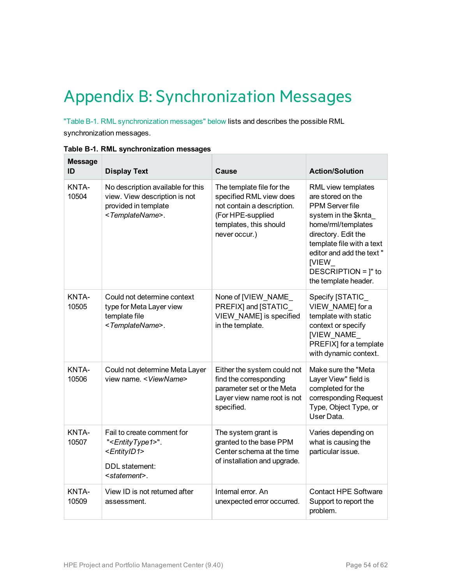## <span id="page-53-0"></span>Appendix B: Synchronization Messages

"Table B-1. RML [synchronization](#page-53-1) messages" below lists and describes the possible RML synchronization messages.

| <b>Message</b><br>ID | <b>Display Text</b>                                                                                                                       | Cause                                                                                                                                              | <b>Action/Solution</b>                                                                                                                                                                                                                                          |
|----------------------|-------------------------------------------------------------------------------------------------------------------------------------------|----------------------------------------------------------------------------------------------------------------------------------------------------|-----------------------------------------------------------------------------------------------------------------------------------------------------------------------------------------------------------------------------------------------------------------|
| KNTA-<br>10504       | No description available for this<br>view. View description is not<br>provided in template<br><templatename>.</templatename>              | The template file for the<br>specified RML view does<br>not contain a description.<br>(For HPE-supplied<br>templates, this should<br>never occur.) | RML view templates<br>are stored on the<br><b>PPM Server file</b><br>system in the \$knta_<br>home/rml/templates<br>directory. Edit the<br>template file with a text<br>editor and add the text"<br><b>IVIEW</b><br>DESCRIPTION = ]" to<br>the template header. |
| KNTA-<br>10505       | Could not determine context<br>type for Meta Layer view<br>template file<br><templatename>.</templatename>                                | None of [VIEW_NAME_<br>PREFIX] and [STATIC_<br>VIEW NAME] is specified<br>in the template.                                                         | Specify [STATIC_<br>VIEW NAME] for a<br>template with static<br>context or specify<br>[VIEW_NAME_<br>PREFIX] for a template<br>with dynamic context.                                                                                                            |
| KNTA-<br>10506       | Could not determine Meta Layer<br>view name. < ViewName>                                                                                  | Either the system could not<br>find the corresponding<br>parameter set or the Meta<br>Layer view name root is not<br>specified.                    | Make sure the "Meta<br>Layer View" field is<br>completed for the<br>corresponding Request<br>Type, Object Type, or<br>User Data.                                                                                                                                |
| KNTA-<br>10507       | Fail to create comment for<br>" <entitytype1>".<br/><entityid1><br/>DDL statement:<br/><statement>.</statement></entityid1></entitytype1> | The system grant is<br>granted to the base PPM<br>Center schema at the time<br>of installation and upgrade.                                        | Varies depending on<br>what is causing the<br>particular issue.                                                                                                                                                                                                 |
| KNTA-<br>10509       | View ID is not returned after<br>assessment.                                                                                              | Internal error. An<br>unexpected error occurred.                                                                                                   | <b>Contact HPE Software</b><br>Support to report the<br>problem.                                                                                                                                                                                                |

<span id="page-53-1"></span>**Table B-1. RML synchronization messages**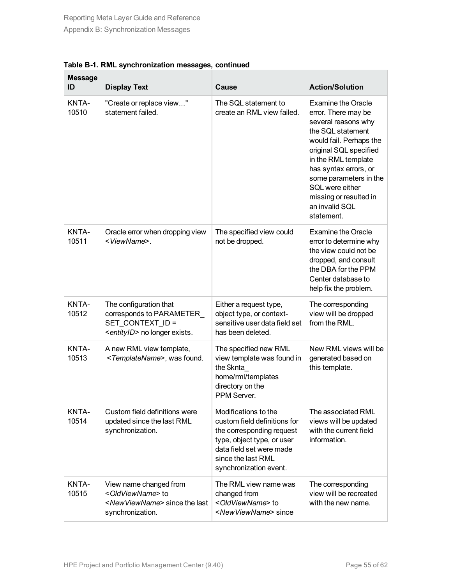| <b>Message</b><br>ID | <b>Display Text</b>                                                                                                          | Cause                                                                                                                                                                                       | <b>Action/Solution</b>                                                                                                                                                                                                                                                                                   |
|----------------------|------------------------------------------------------------------------------------------------------------------------------|---------------------------------------------------------------------------------------------------------------------------------------------------------------------------------------------|----------------------------------------------------------------------------------------------------------------------------------------------------------------------------------------------------------------------------------------------------------------------------------------------------------|
| KNTA-<br>10510       | "Create or replace view"<br>statement failed.                                                                                | The SQL statement to<br>create an RML view failed.                                                                                                                                          | <b>Examine the Oracle</b><br>error. There may be<br>several reasons why<br>the SQL statement<br>would fail. Perhaps the<br>original SQL specified<br>in the RML template<br>has syntax errors, or<br>some parameters in the<br>SQL were either<br>missing or resulted in<br>an invalid SQL<br>statement. |
| KNTA-<br>10511       | Oracle error when dropping view<br><viewname>.</viewname>                                                                    | The specified view could<br>not be dropped.                                                                                                                                                 | <b>Examine the Oracle</b><br>error to determine why<br>the view could not be<br>dropped, and consult<br>the DBA for the PPM<br>Center database to<br>help fix the problem.                                                                                                                               |
| KNTA-<br>10512       | The configuration that<br>corresponds to PARAMETER<br>SET CONTEXT ID =<br><entityid> no longer exists.</entityid>            | Either a request type,<br>object type, or context-<br>sensitive user data field set<br>has been deleted.                                                                                    | The corresponding<br>view will be dropped<br>from the RML.                                                                                                                                                                                                                                               |
| KNTA-<br>10513       | A new RML view template,<br><templatename>, was found.</templatename>                                                        | The specified new RML<br>view template was found in<br>the \$knta<br>home/rml/templates<br>directory on the<br>PPM Server.                                                                  | New RML views will be<br>generated based on<br>this template.                                                                                                                                                                                                                                            |
| KNTA-<br>10514       | Custom field definitions were<br>updated since the last RML<br>synchronization.                                              | Modifications to the<br>custom field definitions for<br>the corresponding request<br>type, object type, or user<br>data field set were made<br>since the last RML<br>synchronization event. | The associated RML<br>views will be updated<br>with the current field<br>information.                                                                                                                                                                                                                    |
| KNTA-<br>10515       | View name changed from<br><oldviewname> to<br/><newviewname> since the last<br/>synchronization.</newviewname></oldviewname> | The RML view name was<br>changed from<br><oldviewname> to<br/><newviewname> since</newviewname></oldviewname>                                                                               | The corresponding<br>view will be recreated<br>with the new name.                                                                                                                                                                                                                                        |

**Table B-1. RML synchronization messages, continued**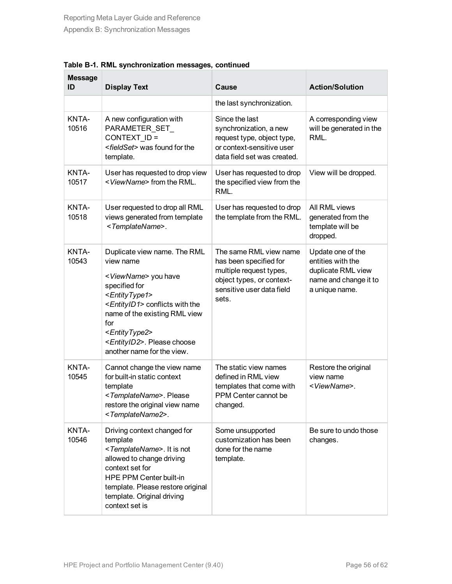| <b>Message</b><br>ID | <b>Display Text</b>                                                                                                                                                                                                                                                                                                              | Cause                                                                                                                                          | <b>Action/Solution</b>                                                                                  |
|----------------------|----------------------------------------------------------------------------------------------------------------------------------------------------------------------------------------------------------------------------------------------------------------------------------------------------------------------------------|------------------------------------------------------------------------------------------------------------------------------------------------|---------------------------------------------------------------------------------------------------------|
|                      |                                                                                                                                                                                                                                                                                                                                  | the last synchronization.                                                                                                                      |                                                                                                         |
| KNTA-<br>10516       | A new configuration with<br>PARAMETER SET<br>CONTEXT ID =<br><fieldset> was found for the<br/>template.</fieldset>                                                                                                                                                                                                               | Since the last<br>synchronization, a new<br>request type, object type,<br>or context-sensitive user<br>data field set was created.             | A corresponding view<br>will be generated in the<br>RML.                                                |
| KNTA-<br>10517       | User has requested to drop view<br><viewname> from the RML.</viewname>                                                                                                                                                                                                                                                           | User has requested to drop<br>the specified view from the<br>RML.                                                                              | View will be dropped.                                                                                   |
| KNTA-<br>10518       | User requested to drop all RML<br>views generated from template<br><templatename>.</templatename>                                                                                                                                                                                                                                | User has requested to drop<br>the template from the RML.                                                                                       | All RML views<br>generated from the<br>template will be<br>dropped.                                     |
| KNTA-<br>10543       | Duplicate view name. The RML<br>view name<br><viewname> you have<br/>specified for<br/><entitytype1><br/><entityid1> conflicts with the<br/>name of the existing RML view<br/>for<br/><entitytype2><br/><entityid2>. Please choose<br/>another name for the view.</entityid2></entitytype2></entityid1></entitytype1></viewname> | The same RML view name<br>has been specified for<br>multiple request types,<br>object types, or context-<br>sensitive user data field<br>sets. | Update one of the<br>entities with the<br>duplicate RML view<br>name and change it to<br>a unique name. |
| KNTA-<br>10545       | Cannot change the view name<br>for built-in static context<br>template<br><templatename>. Please<br/>restore the original view name<br/><templatename2>.</templatename2></templatename>                                                                                                                                          | The static view names<br>defined in RML view<br>templates that come with<br>PPM Center cannot be<br>changed.                                   | Restore the original<br>view name<br><viewname>.</viewname>                                             |
| KNTA-<br>10546       | Driving context changed for<br>template<br><templatename>. It is not<br/>allowed to change driving<br/>context set for<br/><b>HPE PPM Center built-in</b><br/>template. Please restore original<br/>template. Original driving<br/>context set is</templatename>                                                                 | Some unsupported<br>customization has been<br>done for the name<br>template.                                                                   | Be sure to undo those<br>changes.                                                                       |

**Table B-1. RML synchronization messages, continued**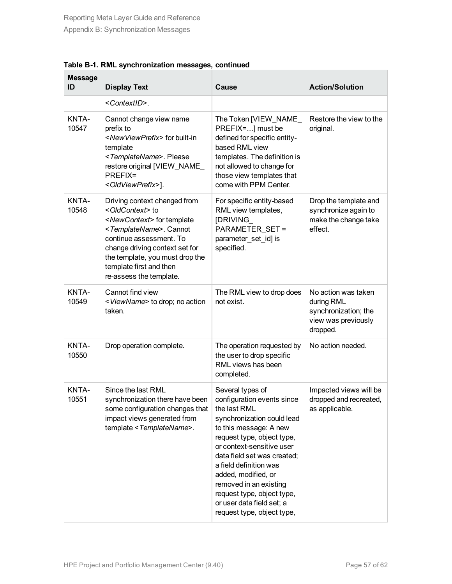| <b>Message</b><br>ID | <b>Display Text</b>                                                                                                                                                                                                                                                                                          | Cause                                                                                                                                                                                                                                                                                                                                                                                | <b>Action/Solution</b>                                                                       |
|----------------------|--------------------------------------------------------------------------------------------------------------------------------------------------------------------------------------------------------------------------------------------------------------------------------------------------------------|--------------------------------------------------------------------------------------------------------------------------------------------------------------------------------------------------------------------------------------------------------------------------------------------------------------------------------------------------------------------------------------|----------------------------------------------------------------------------------------------|
|                      | <contextid>.</contextid>                                                                                                                                                                                                                                                                                     |                                                                                                                                                                                                                                                                                                                                                                                      |                                                                                              |
| KNTA-<br>10547       | Cannot change view name<br>prefix to<br><newviewprefix> for built-in<br/>template<br/><templatename>. Please<br/>restore original [VIEW NAME<br/>PREFIX=<br/><oldviewprefix>].</oldviewprefix></templatename></newviewprefix>                                                                                | The Token [VIEW NAME<br>PREFIX=] must be<br>defined for specific entity-<br>based RML view<br>templates. The definition is<br>not allowed to change for<br>those view templates that<br>come with PPM Center.                                                                                                                                                                        | Restore the view to the<br>original.                                                         |
| KNTA-<br>10548       | Driving context changed from<br><oldcontext> to<br/><newcontext> for template<br/><templatename>. Cannot<br/>continue assessment. To<br/>change driving context set for<br/>the template, you must drop the<br/>template first and then<br/>re-assess the template.</templatename></newcontext></oldcontext> | For specific entity-based<br>RML view templates,<br>[DRIVING<br>PARAMETER_SET =<br>parameter set id] is<br>specified.                                                                                                                                                                                                                                                                | Drop the template and<br>synchronize again to<br>make the change take<br>effect.             |
| KNTA-<br>10549       | Cannot find view<br><viewname> to drop; no action<br/>taken.</viewname>                                                                                                                                                                                                                                      | The RML view to drop does<br>not exist.                                                                                                                                                                                                                                                                                                                                              | No action was taken<br>during RML<br>synchronization; the<br>view was previously<br>dropped. |
| KNTA-<br>10550       | Drop operation complete.                                                                                                                                                                                                                                                                                     | The operation requested by<br>the user to drop specific<br>RML views has been<br>completed.                                                                                                                                                                                                                                                                                          | No action needed.                                                                            |
| KNTA-<br>10551       | Since the last RML<br>synchronization there have been<br>some configuration changes that<br>impact views generated from<br>template < TemplateName>.                                                                                                                                                         | Several types of<br>configuration events since<br>the last RML<br>synchronization could lead<br>to this message: A new<br>request type, object type,<br>or context-sensitive user<br>data field set was created;<br>a field definition was<br>added, modified, or<br>removed in an existing<br>request type, object type,<br>or user data field set; a<br>request type, object type, | Impacted views will be<br>dropped and recreated,<br>as applicable.                           |

**Table B-1. RML synchronization messages, continued**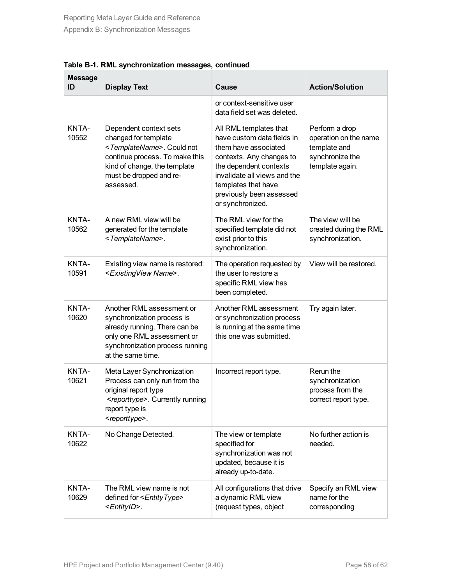| <b>Message</b><br>ID | <b>Display Text</b>                                                                                                                                                                                      | Cause                                                                                                                                                                                                                                     | <b>Action/Solution</b>                                                                        |
|----------------------|----------------------------------------------------------------------------------------------------------------------------------------------------------------------------------------------------------|-------------------------------------------------------------------------------------------------------------------------------------------------------------------------------------------------------------------------------------------|-----------------------------------------------------------------------------------------------|
|                      |                                                                                                                                                                                                          | or context-sensitive user<br>data field set was deleted.                                                                                                                                                                                  |                                                                                               |
| KNTA-<br>10552       | Dependent context sets<br>changed for template<br><templatename>. Could not<br/>continue process. To make this<br/>kind of change, the template<br/>must be dropped and re-<br/>assessed.</templatename> | All RML templates that<br>have custom data fields in<br>them have associated<br>contexts. Any changes to<br>the dependent contexts<br>invalidate all views and the<br>templates that have<br>previously been assessed<br>or synchronized. | Perform a drop<br>operation on the name<br>template and<br>synchronize the<br>template again. |
| KNTA-<br>10562       | A new RML view will be<br>generated for the template<br><templatename>.</templatename>                                                                                                                   | The RML view for the<br>specified template did not<br>exist prior to this<br>synchronization.                                                                                                                                             | The view will be<br>created during the RML<br>synchronization.                                |
| KNTA-<br>10591       | Existing view name is restored:<br><existingview name="">.</existingview>                                                                                                                                | The operation requested by<br>the user to restore a<br>specific RML view has<br>been completed.                                                                                                                                           | View will be restored.                                                                        |
| KNTA-<br>10620       | Another RML assessment or<br>synchronization process is<br>already running. There can be<br>only one RML assessment or<br>synchronization process running<br>at the same time.                           | Another RML assessment<br>or synchronization process<br>is running at the same time<br>this one was submitted.                                                                                                                            | Try again later.                                                                              |
| KNTA-<br>10621       | Meta Layer Synchronization<br>Process can only run from the<br>original report type<br><reporttype>. Currently running<br/>report type is<br/><reporttype>.</reporttype></reporttype>                    | Incorrect report type.                                                                                                                                                                                                                    | Rerun the<br>synchronization<br>process from the<br>correct report type.                      |
| KNTA-<br>10622       | No Change Detected.                                                                                                                                                                                      | The view or template<br>specified for<br>synchronization was not<br>updated, because it is<br>already up-to-date.                                                                                                                         | No further action is<br>needed.                                                               |
| KNTA-<br>10629       | The RML view name is not<br>defined for <entitytype><br/><entityid>.</entityid></entitytype>                                                                                                             | All configurations that drive<br>a dynamic RML view<br>(request types, object                                                                                                                                                             | Specify an RML view<br>name for the<br>corresponding                                          |

**Table B-1. RML synchronization messages, continued**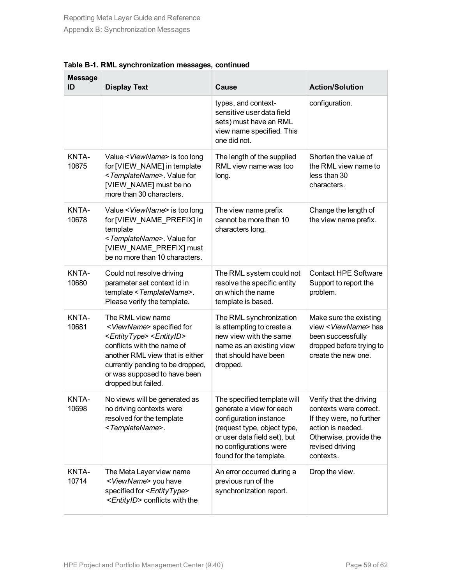| <b>Message</b><br>ID | <b>Display Text</b>                                                                                                                                                                                                                                                           | Cause                                                                                                                                                                                                 | <b>Action/Solution</b>                                                                                                                                       |
|----------------------|-------------------------------------------------------------------------------------------------------------------------------------------------------------------------------------------------------------------------------------------------------------------------------|-------------------------------------------------------------------------------------------------------------------------------------------------------------------------------------------------------|--------------------------------------------------------------------------------------------------------------------------------------------------------------|
|                      |                                                                                                                                                                                                                                                                               | types, and context-<br>sensitive user data field<br>sets) must have an RML<br>view name specified. This<br>one did not.                                                                               | configuration.                                                                                                                                               |
| KNTA-<br>10675       | Value < ViewName> is too long<br>for [VIEW_NAME] in template<br><templatename>. Value for<br/>[VIEW_NAME] must be no<br/>more than 30 characters.</templatename>                                                                                                              | The length of the supplied<br>RML view name was too<br>long.                                                                                                                                          | Shorten the value of<br>the RML view name to<br>less than 30<br>characters.                                                                                  |
| KNTA-<br>10678       | Value < ViewName> is too long<br>for [VIEW_NAME_PREFIX] in<br>template<br><templatename>. Value for<br/>[VIEW NAME PREFIX] must<br/>be no more than 10 characters.</templatename>                                                                                             | The view name prefix<br>cannot be more than 10<br>characters long.                                                                                                                                    | Change the length of<br>the view name prefix.                                                                                                                |
| KNTA-<br>10680       | Could not resolve driving<br>parameter set context id in<br>template < TemplateName>.<br>Please verify the template.                                                                                                                                                          | The RML system could not<br>resolve the specific entity<br>on which the name<br>template is based.                                                                                                    | <b>Contact HPE Software</b><br>Support to report the<br>problem.                                                                                             |
| KNTA-<br>10681       | The RML view name<br><viewname> specified for<br/><entitytype> <entityid><br/>conflicts with the name of<br/>another RML view that is either<br/>currently pending to be dropped,<br/>or was supposed to have been<br/>dropped but failed.</entityid></entitytype></viewname> | The RML synchronization<br>is attempting to create a<br>new view with the same<br>name as an existing view<br>that should have been<br>dropped.                                                       | Make sure the existing<br>view < ViewName> has<br>been successfully<br>dropped before trying to<br>create the new one.                                       |
| KNTA-<br>10698       | No views will be generated as<br>no driving contexts were<br>resolved for the template<br><templatename>.</templatename>                                                                                                                                                      | The specified template will<br>generate a view for each<br>configuration instance<br>(request type, object type,<br>or user data field set), but<br>no configurations were<br>found for the template. | Verify that the driving<br>contexts were correct.<br>If they were, no further<br>action is needed.<br>Otherwise, provide the<br>revised driving<br>contexts. |
| KNTA-<br>10714       | The Meta Layer view name<br><viewname> you have<br/>specified for <entitytype><br/><entityid> conflicts with the</entityid></entitytype></viewname>                                                                                                                           | An error occurred during a<br>previous run of the<br>synchronization report.                                                                                                                          | Drop the view.                                                                                                                                               |

**Table B-1. RML synchronization messages, continued**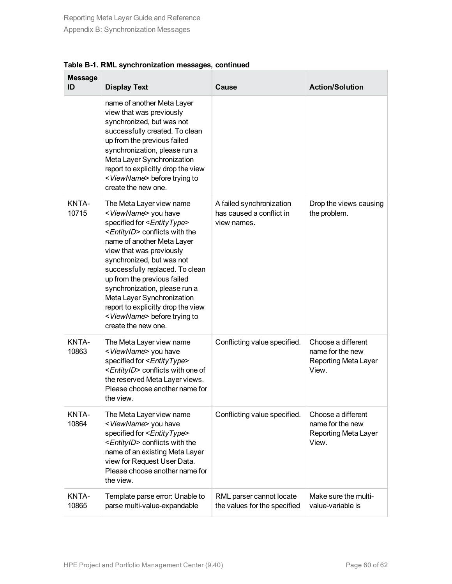| <b>Message</b><br>ID | <b>Display Text</b>                                                                                                                                                                                                                                                                                                                                                                                                                                                                          | Cause                                                               | <b>Action/Solution</b>                                                         |
|----------------------|----------------------------------------------------------------------------------------------------------------------------------------------------------------------------------------------------------------------------------------------------------------------------------------------------------------------------------------------------------------------------------------------------------------------------------------------------------------------------------------------|---------------------------------------------------------------------|--------------------------------------------------------------------------------|
|                      | name of another Meta Layer<br>view that was previously<br>synchronized, but was not<br>successfully created. To clean<br>up from the previous failed<br>synchronization, please run a<br>Meta Layer Synchronization<br>report to explicitly drop the view<br><viewname> before trying to<br/>create the new one.</viewname>                                                                                                                                                                  |                                                                     |                                                                                |
| KNTA-<br>10715       | The Meta Layer view name<br><viewname> you have<br/>specified for <entitytype><br/><entityid> conflicts with the<br/>name of another Meta Layer<br/>view that was previously<br/>synchronized, but was not<br/>successfully replaced. To clean<br/>up from the previous failed<br/>synchronization, please run a<br/>Meta Layer Synchronization<br/>report to explicitly drop the view<br/><viewname> before trying to<br/>create the new one.</viewname></entityid></entitytype></viewname> | A failed synchronization<br>has caused a conflict in<br>view names. | Drop the views causing<br>the problem.                                         |
| KNTA-<br>10863       | The Meta Layer view name<br><viewname> you have<br/>specified for <entitytype><br/><entityid> conflicts with one of<br/>the reserved Meta Layer views.<br/>Please choose another name for<br/>the view.</entityid></entitytype></viewname>                                                                                                                                                                                                                                                   | Conflicting value specified.                                        | Choose a different<br>name for the new<br><b>Reporting Meta Layer</b><br>View. |
| KNTA-<br>10864       | The Meta Layer view name<br><viewname> you have<br/>specified for <entitytype><br/><entityid> conflicts with the<br/>name of an existing Meta Layer<br/>view for Request User Data.<br/>Please choose another name for<br/>the view.</entityid></entitytype></viewname>                                                                                                                                                                                                                      | Conflicting value specified.                                        | Choose a different<br>name for the new<br><b>Reporting Meta Layer</b><br>View. |
| KNTA-<br>10865       | Template parse error: Unable to<br>parse multi-value-expandable                                                                                                                                                                                                                                                                                                                                                                                                                              | RML parser cannot locate<br>the values for the specified            | Make sure the multi-<br>value-variable is                                      |

**Table B-1. RML synchronization messages, continued**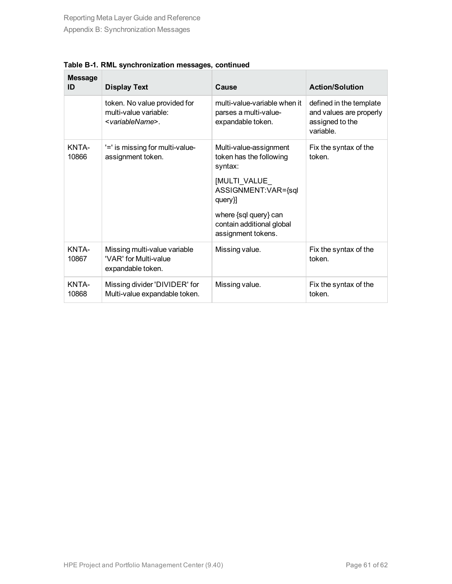| <b>Message</b><br>ID | <b>Display Text</b>                                                                    | Cause                                                                                                                                                                                       | <b>Action/Solution</b>                                                             |
|----------------------|----------------------------------------------------------------------------------------|---------------------------------------------------------------------------------------------------------------------------------------------------------------------------------------------|------------------------------------------------------------------------------------|
|                      | token. No value provided for<br>multi-value variable:<br><variablename></variablename> | multi-value-variable when it<br>parses a multi-value-<br>expandable token.                                                                                                                  | defined in the template<br>and values are properly<br>assigned to the<br>variable. |
| KNTA-<br>10866       | '=' is missing for multi-value-<br>assignment token.                                   | Multi-value-assignment<br>token has the following<br>syntax:<br>[MULTI_VALUE_<br>ASSIGNMENT:VAR={sql<br>query}]<br>where {sql query} can<br>contain additional global<br>assignment tokens. | Fix the syntax of the<br>token.                                                    |
| KNTA-<br>10867       | Missing multi-value variable<br>'VAR' for Multi-value<br>expandable token.             | Missing value.                                                                                                                                                                              | Fix the syntax of the<br>token.                                                    |
| KNTA-<br>10868       | Missing divider 'DIVIDER' for<br>Multi-value expandable token.                         | Missing value.                                                                                                                                                                              | Fix the syntax of the<br>token.                                                    |

**Table B-1. RML synchronization messages, continued**